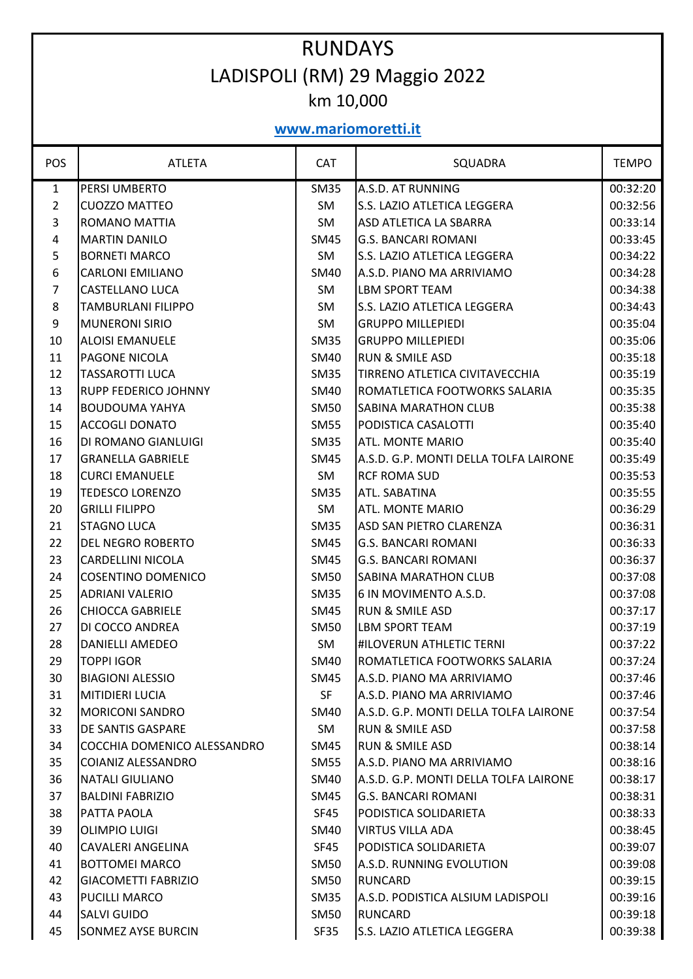## RUNDAYS LADISPOLI (RM) 29 Maggio 2022 km 10,000

## **www.mariomoretti.it**

| <b>POS</b>     | <b>ATLETA</b>               | <b>CAT</b>  | SQUADRA                               | <b>TEMPO</b> |
|----------------|-----------------------------|-------------|---------------------------------------|--------------|
| $\mathbf{1}$   | PERSI UMBERTO               | <b>SM35</b> | A.S.D. AT RUNNING                     | 00:32:20     |
| $\overline{2}$ | <b>CUOZZO MATTEO</b>        | SM          | S.S. LAZIO ATLETICA LEGGERA           | 00:32:56     |
| 3              | ROMANO MATTIA               | SM          | ASD ATLETICA LA SBARRA                | 00:33:14     |
| 4              | <b>MARTIN DANILO</b>        | <b>SM45</b> | <b>G.S. BANCARI ROMANI</b>            | 00:33:45     |
| 5              | <b>BORNETI MARCO</b>        | SM          | S.S. LAZIO ATLETICA LEGGERA           | 00:34:22     |
| 6              | <b>CARLONI EMILIANO</b>     | <b>SM40</b> | A.S.D. PIANO MA ARRIVIAMO             | 00:34:28     |
| 7              | <b>CASTELLANO LUCA</b>      | SM          | <b>LBM SPORT TEAM</b>                 | 00:34:38     |
| 8              | <b>TAMBURLANI FILIPPO</b>   | SM          | S.S. LAZIO ATLETICA LEGGERA           | 00:34:43     |
| 9              | <b>MUNERONI SIRIO</b>       | SM          | <b>GRUPPO MILLEPIEDI</b>              | 00:35:04     |
| 10             | <b>ALOISI EMANUELE</b>      | <b>SM35</b> | <b>GRUPPO MILLEPIEDI</b>              | 00:35:06     |
| 11             | PAGONE NICOLA               | SM40        | <b>RUN &amp; SMILE ASD</b>            | 00:35:18     |
| 12             | <b>TASSAROTTI LUCA</b>      | <b>SM35</b> | TIRRENO ATLETICA CIVITAVECCHIA        | 00:35:19     |
| 13             | <b>RUPP FEDERICO JOHNNY</b> | SM40        | ROMATLETICA FOOTWORKS SALARIA         | 00:35:35     |
| 14             | <b>BOUDOUMA YAHYA</b>       | <b>SM50</b> | SABINA MARATHON CLUB                  | 00:35:38     |
| 15             | <b>ACCOGLI DONATO</b>       | <b>SM55</b> | PODISTICA CASALOTTI                   | 00:35:40     |
| 16             | DI ROMANO GIANLUIGI         | <b>SM35</b> | ATL. MONTE MARIO                      | 00:35:40     |
| 17             | <b>GRANELLA GABRIELE</b>    | <b>SM45</b> | A.S.D. G.P. MONTI DELLA TOLFA LAIRONE | 00:35:49     |
| 18             | <b>CURCI EMANUELE</b>       | <b>SM</b>   | <b>RCF ROMA SUD</b>                   | 00:35:53     |
| 19             | <b>TEDESCO LORENZO</b>      | <b>SM35</b> | ATL. SABATINA                         | 00:35:55     |
| 20             | <b>GRILLI FILIPPO</b>       | SM          | ATL. MONTE MARIO                      | 00:36:29     |
| 21             | <b>STAGNO LUCA</b>          | <b>SM35</b> | ASD SAN PIETRO CLARENZA               | 00:36:31     |
| 22             | <b>DEL NEGRO ROBERTO</b>    | <b>SM45</b> | <b>G.S. BANCARI ROMANI</b>            | 00:36:33     |
| 23             | <b>CARDELLINI NICOLA</b>    | <b>SM45</b> | <b>G.S. BANCARI ROMANI</b>            | 00:36:37     |
| 24             | <b>COSENTINO DOMENICO</b>   | <b>SM50</b> | <b>SABINA MARATHON CLUB</b>           | 00:37:08     |
| 25             | <b>ADRIANI VALERIO</b>      | <b>SM35</b> | 6 IN MOVIMENTO A.S.D.                 | 00:37:08     |
| 26             | <b>CHIOCCA GABRIELE</b>     | <b>SM45</b> | RUN & SMILE ASD                       | 00:37:17     |
| 27             | DI COCCO ANDREA             | <b>SM50</b> | LBM SPORT TEAM                        | 00:37:19     |
| 28             | <b>DANIELLI AMEDEO</b>      | SM          | <b>#ILOVERUN ATHLETIC TERNI</b>       | 00:37:22     |
| 29             | <b>TOPPI IGOR</b>           | <b>SM40</b> | ROMATLETICA FOOTWORKS SALARIA         | 00:37:24     |
| 30             | BIAGIONI ALESSIO            | SM45        | A.S.D. PIANO MA ARRIVIAMO             | 00:37:46     |
| 31             | <b>MITIDIERI LUCIA</b>      | <b>SF</b>   | A.S.D. PIANO MA ARRIVIAMO             | 00:37:46     |
| 32             | <b>MORICONI SANDRO</b>      | SM40        | A.S.D. G.P. MONTI DELLA TOLFA LAIRONE | 00:37:54     |
| 33             | DE SANTIS GASPARE           | SM          | <b>RUN &amp; SMILE ASD</b>            | 00:37:58     |
| 34             | COCCHIA DOMENICO ALESSANDRO | SM45        | <b>RUN &amp; SMILE ASD</b>            | 00:38:14     |
| 35             | COIANIZ ALESSANDRO          | <b>SM55</b> | A.S.D. PIANO MA ARRIVIAMO             | 00:38:16     |
| 36             | <b>NATALI GIULIANO</b>      | SM40        | A.S.D. G.P. MONTI DELLA TOLFA LAIRONE | 00:38:17     |
| 37             | <b>BALDINI FABRIZIO</b>     | SM45        | <b>G.S. BANCARI ROMANI</b>            | 00:38:31     |
| 38             | PATTA PAOLA                 | SF45        | PODISTICA SOLIDARIETA                 | 00:38:33     |
| 39             | OLIMPIO LUIGI               | SM40        | VIRTUS VILLA ADA                      | 00:38:45     |
| 40             | CAVALERI ANGELINA           | SF45        | PODISTICA SOLIDARIETA                 | 00:39:07     |
| 41             | <b>BOTTOMEI MARCO</b>       | <b>SM50</b> | A.S.D. RUNNING EVOLUTION              | 00:39:08     |
| 42             | <b>GIACOMETTI FABRIZIO</b>  | SM50        | <b>RUNCARD</b>                        | 00:39:15     |
| 43             | <b>PUCILLI MARCO</b>        | SM35        | A.S.D. PODISTICA ALSIUM LADISPOLI     | 00:39:16     |
| 44             | <b>SALVI GUIDO</b>          | <b>SM50</b> | <b>RUNCARD</b>                        | 00:39:18     |
| 45             | <b>SONMEZ AYSE BURCIN</b>   | SF35        | S.S. LAZIO ATLETICA LEGGERA           | 00:39:38     |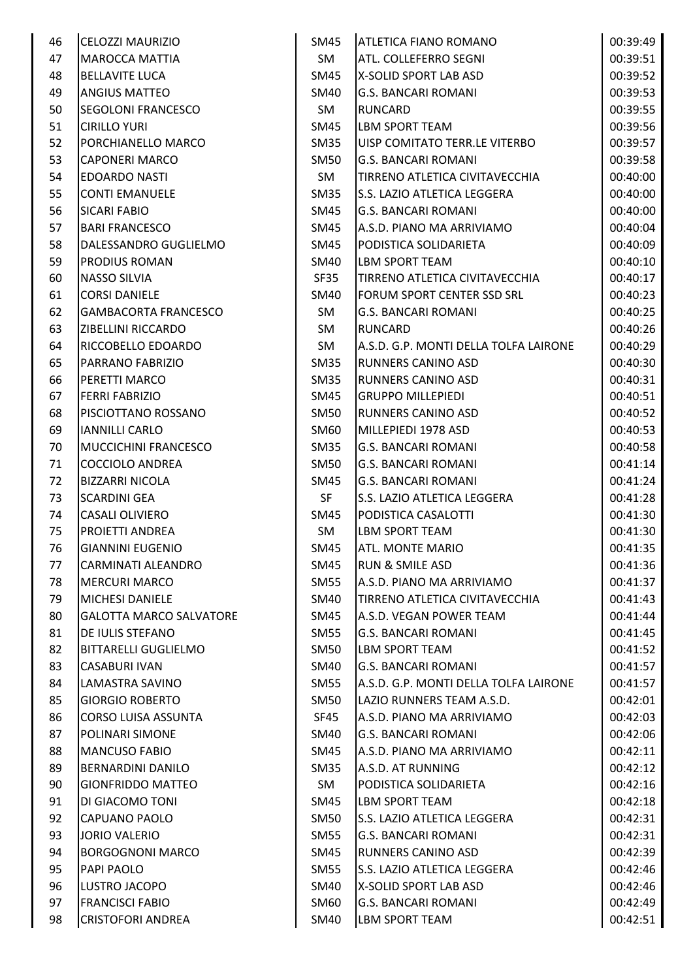| 46 | <b>CELOZZI MAURIZIO</b>        | SM45             | <b>ATLETICA FIANO ROMANO</b>          | 00:39:49 |
|----|--------------------------------|------------------|---------------------------------------|----------|
| 47 | <b>MAROCCA MATTIA</b>          | SM               | ATL. COLLEFERRO SEGNI                 | 00:39:51 |
| 48 | <b>BELLAVITE LUCA</b>          | SM45             | X-SOLID SPORT LAB ASD                 | 00:39:52 |
| 49 | <b>ANGIUS MATTEO</b>           | <b>SM40</b>      | <b>G.S. BANCARI ROMANI</b>            | 00:39:53 |
| 50 | <b>SEGOLONI FRANCESCO</b>      | SM               | RUNCARD                               | 00:39:55 |
| 51 | <b>CIRILLO YURI</b>            | SM45             | LBM SPORT TEAM                        | 00:39:56 |
| 52 | PORCHIANELLO MARCO             | SM35             | UISP COMITATO TERR.LE VITERBO         | 00:39:57 |
| 53 | <b>CAPONERI MARCO</b>          | <b>SM50</b>      | <b>G.S. BANCARI ROMANI</b>            | 00:39:58 |
| 54 | <b>EDOARDO NASTI</b>           | SM               | TIRRENO ATLETICA CIVITAVECCHIA        | 00:40:00 |
| 55 | <b>CONTI EMANUELE</b>          | <b>SM35</b>      | <b>S.S. LAZIO ATLETICA LEGGERA</b>    | 00:40:00 |
| 56 | <b>SICARI FABIO</b>            | SM45             | <b>G.S. BANCARI ROMANI</b>            | 00:40:00 |
| 57 | <b>BARI FRANCESCO</b>          | <b>SM45</b>      | A.S.D. PIANO MA ARRIVIAMO             | 00:40:04 |
| 58 | DALESSANDRO GUGLIELMO          | <b>SM45</b>      | PODISTICA SOLIDARIETA                 | 00:40:09 |
| 59 | <b>PRODIUS ROMAN</b>           | <b>SM40</b>      | LBM SPORT TEAM                        | 00:40:10 |
| 60 | <b>NASSO SILVIA</b>            | SF35             | TIRRENO ATLETICA CIVITAVECCHIA        | 00:40:17 |
| 61 | <b>CORSI DANIELE</b>           | SM40             | FORUM SPORT CENTER SSD SRL            | 00:40:23 |
| 62 | <b>GAMBACORTA FRANCESCO</b>    | SM               | <b>G.S. BANCARI ROMANI</b>            | 00:40:25 |
| 63 | <b>ZIBELLINI RICCARDO</b>      | SM               | RUNCARD                               | 00:40:26 |
| 64 | <b>RICCOBELLO EDOARDO</b>      | SM               | A.S.D. G.P. MONTI DELLA TOLFA LAIRONE | 00:40:29 |
| 65 | <b>PARRANO FABRIZIO</b>        | <b>SM35</b>      | RUNNERS CANINO ASD                    | 00:40:30 |
| 66 | <b>PERETTI MARCO</b>           | <b>SM35</b>      | <b>RUNNERS CANINO ASD</b>             | 00:40:31 |
| 67 | <b>FERRI FABRIZIO</b>          | SM45             | <b>GRUPPO MILLEPIEDI</b>              | 00:40:51 |
| 68 | PISCIOTTANO ROSSANO            | <b>SM50</b>      | RUNNERS CANINO ASD                    | 00:40:52 |
| 69 | <b>IANNILLI CARLO</b>          | SM60             | MILLEPIEDI 1978 ASD                   | 00:40:53 |
| 70 | MUCCICHINI FRANCESCO           | <b>SM35</b>      | <b>G.S. BANCARI ROMANI</b>            | 00:40:58 |
| 71 | COCCIOLO ANDREA                | <b>SM50</b>      | <b>G.S. BANCARI ROMANI</b>            | 00:41:14 |
| 72 | <b>BIZZARRI NICOLA</b>         | SM45             | <b>G.S. BANCARI ROMANI</b>            | 00:41:24 |
| 73 | <b>SCARDINI GEA</b>            | <b>SF</b>        | S.S. LAZIO ATLETICA LEGGERA           | 00:41:28 |
| 74 | <b>CASALI OLIVIERO</b>         | SM45             | PODISTICA CASALOTTI                   | 00:41:30 |
| 75 | <b>PROJETTI ANDREA</b>         | SM               | <b>LBM SPORT TEAM</b>                 | 00:41:30 |
|    | <b>GIANNINI EUGENIO</b>        |                  |                                       |          |
| 76 |                                | SM45             | <b>ATL. MONTE MARIO</b>               | 00:41:35 |
| 77 | <b>CARMINATI ALEANDRO</b>      | SM45             | <b>RUN &amp; SMILE ASD</b>            | 00:41:36 |
| 78 | <b>MERCURI MARCO</b>           | <b>SM55</b>      | A.S.D. PIANO MA ARRIVIAMO             | 00:41:37 |
| 79 | <b>MICHESI DANIELE</b>         | SM40             | TIRRENO ATLETICA CIVITAVECCHIA        | 00:41:43 |
| 80 | <b>GALOTTA MARCO SALVATORE</b> | SM45             | A.S.D. VEGAN POWER TEAM               | 00:41:44 |
| 81 | <b>DE IULIS STEFANO</b>        | <b>SM55</b>      | <b>G.S. BANCARI ROMANI</b>            | 00:41:45 |
| 82 | <b>BITTARELLI GUGLIELMO</b>    | <b>SM50</b>      | LBM SPORT TEAM                        | 00:41:52 |
| 83 | <b>CASABURI IVAN</b>           | SM40             | <b>G.S. BANCARI ROMANI</b>            | 00:41:57 |
| 84 | LAMASTRA SAVINO                | <b>SM55</b>      | A.S.D. G.P. MONTI DELLA TOLFA LAIRONE | 00:41:57 |
| 85 | <b>GIORGIO ROBERTO</b>         | <b>SM50</b>      | LAZIO RUNNERS TEAM A.S.D.             | 00:42:01 |
| 86 | CORSO LUISA ASSUNTA            | SF45             | A.S.D. PIANO MA ARRIVIAMO             | 00:42:03 |
| 87 | POLINARI SIMONE                | SM40             | <b>G.S. BANCARI ROMANI</b>            | 00:42:06 |
| 88 | <b>MANCUSO FABIO</b>           | SM45             | A.S.D. PIANO MA ARRIVIAMO             | 00:42:11 |
| 89 | <b>BERNARDINI DANILO</b>       | SM <sub>35</sub> | A.S.D. AT RUNNING                     | 00:42:12 |
| 90 | <b>GIONFRIDDO MATTEO</b>       | SM               | PODISTICA SOLIDARIETA                 | 00:42:16 |
| 91 | DI GIACOMO TONI                | SM45             | LBM SPORT TEAM                        | 00:42:18 |
| 92 | <b>CAPUANO PAOLO</b>           | SM50             | S.S. LAZIO ATLETICA LEGGERA           | 00:42:31 |
| 93 | <b>JORIO VALERIO</b>           | <b>SM55</b>      | <b>G.S. BANCARI ROMANI</b>            | 00:42:31 |
| 94 | <b>BORGOGNONI MARCO</b>        | SM45             | RUNNERS CANINO ASD                    | 00:42:39 |
| 95 | PAPI PAOLO                     | <b>SM55</b>      | S.S. LAZIO ATLETICA LEGGERA           | 00:42:46 |
| 96 | LUSTRO JACOPO                  | <b>SM40</b>      | X-SOLID SPORT LAB ASD                 | 00:42:46 |
| 97 | <b>FRANCISCI FABIO</b>         | SM60             | <b>G.S. BANCARI ROMANI</b>            | 00:42:49 |
| 98 | <b>CRISTOFORI ANDREA</b>       | <b>SM40</b>      | LBM SPORT TEAM                        | 00:42:51 |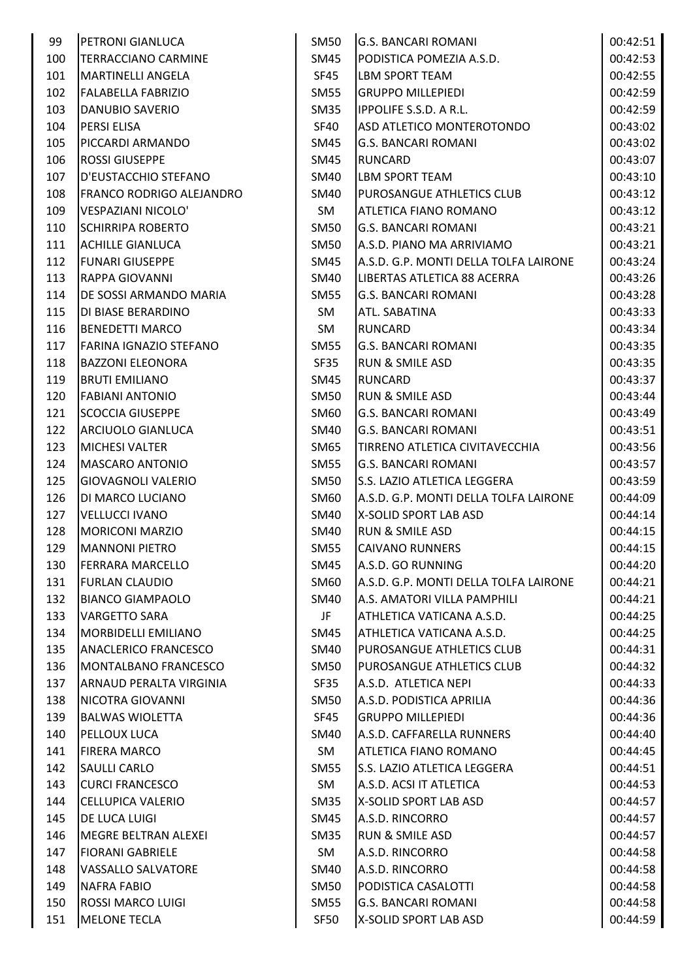| 99  | PETRONI GIANLUCA                | <b>SM50</b> | <b>G.S. BANCARI ROMANI</b>            | 00:42:51 |
|-----|---------------------------------|-------------|---------------------------------------|----------|
| 100 | <b>TERRACCIANO CARMINE</b>      | <b>SM45</b> | PODISTICA POMEZIA A.S.D.              | 00:42:53 |
| 101 | <b>MARTINELLI ANGELA</b>        | SF45        | <b>LBM SPORT TEAM</b>                 | 00:42:55 |
| 102 | <b>FALABELLA FABRIZIO</b>       | <b>SM55</b> | <b>GRUPPO MILLEPIEDI</b>              | 00:42:59 |
| 103 | DANUBIO SAVERIO                 | <b>SM35</b> | <b>IPPOLIFE S.S.D. A R.L.</b>         | 00:42:59 |
| 104 | <b>PERSI ELISA</b>              | SF40        | ASD ATLETICO MONTEROTONDO             | 00:43:02 |
| 105 | PICCARDI ARMANDO                | SM45        | <b>G.S. BANCARI ROMANI</b>            | 00:43:02 |
| 106 | <b>ROSSI GIUSEPPE</b>           | SM45        | <b>RUNCARD</b>                        | 00:43:07 |
| 107 | D'EUSTACCHIO STEFANO            | <b>SM40</b> | <b>LBM SPORT TEAM</b>                 | 00:43:10 |
| 108 | <b>FRANCO RODRIGO ALEJANDRO</b> | <b>SM40</b> | PUROSANGUE ATHLETICS CLUB             | 00:43:12 |
| 109 | VESPAZIANI NICOLO'              | SM          | <b>ATLETICA FIANO ROMANO</b>          | 00:43:12 |
| 110 | <b>SCHIRRIPA ROBERTO</b>        | <b>SM50</b> | <b>G.S. BANCARI ROMANI</b>            | 00:43:21 |
| 111 | <b>ACHILLE GIANLUCA</b>         | <b>SM50</b> | A.S.D. PIANO MA ARRIVIAMO             | 00:43:21 |
| 112 | <b>FUNARI GIUSEPPE</b>          | <b>SM45</b> | A.S.D. G.P. MONTI DELLA TOLFA LAIRONE | 00:43:24 |
| 113 | RAPPA GIOVANNI                  | <b>SM40</b> | LIBERTAS ATLETICA 88 ACERRA           | 00:43:26 |
| 114 | DE SOSSI ARMANDO MARIA          | <b>SM55</b> | <b>G.S. BANCARI ROMANI</b>            | 00:43:28 |
| 115 | DI BIASE BERARDINO              | SM          | <b>ATL. SABATINA</b>                  | 00:43:33 |
| 116 | <b>BENEDETTI MARCO</b>          | SM          | <b>RUNCARD</b>                        | 00:43:34 |
| 117 | <b>FARINA IGNAZIO STEFANO</b>   | <b>SM55</b> | <b>G.S. BANCARI ROMANI</b>            | 00:43:35 |
| 118 | <b>BAZZONI ELEONORA</b>         | SF35        | <b>RUN &amp; SMILE ASD</b>            | 00:43:35 |
| 119 | <b>BRUTI EMILIANO</b>           | <b>SM45</b> | <b>RUNCARD</b>                        | 00:43:37 |
| 120 | <b>FABIANI ANTONIO</b>          | <b>SM50</b> | <b>RUN &amp; SMILE ASD</b>            | 00:43:44 |
| 121 | <b>SCOCCIA GIUSEPPE</b>         | <b>SM60</b> | <b>G.S. BANCARI ROMANI</b>            | 00:43:49 |
| 122 | ARCIUOLO GIANLUCA               | <b>SM40</b> | <b>G.S. BANCARI ROMANI</b>            | 00:43:51 |
| 123 | <b>MICHESI VALTER</b>           | SM65        | <b>TIRRENO ATLETICA CIVITAVECCHIA</b> | 00:43:56 |
| 124 | <b>MASCARO ANTONIO</b>          | <b>SM55</b> | <b>G.S. BANCARI ROMANI</b>            | 00:43:57 |
| 125 | <b>GIOVAGNOLI VALERIO</b>       | <b>SM50</b> | S.S. LAZIO ATLETICA LEGGERA           | 00:43:59 |
| 126 | DI MARCO LUCIANO                | <b>SM60</b> | A.S.D. G.P. MONTI DELLA TOLFA LAIRONE | 00:44:09 |
| 127 | <b>VELLUCCI IVANO</b>           | <b>SM40</b> | X-SOLID SPORT LAB ASD                 | 00:44:14 |
| 128 | <b>MORICONI MARZIO</b>          | <b>SM40</b> | <b>RUN &amp; SMILE ASD</b>            | 00:44:15 |
| 129 | <b>MANNONI PIETRO</b>           | <b>SM55</b> | <b>CAIVANO RUNNERS</b>                | 00:44:15 |
| 130 | <b>FERRARA MARCELLO</b>         | SM45        | A.S.D. GO RUNNING                     | 00:44:20 |
| 131 | <b>FURLAN CLAUDIO</b>           | SM60        | A.S.D. G.P. MONTI DELLA TOLFA LAIRONE | 00:44:21 |
| 132 | <b>BIANCO GIAMPAOLO</b>         | SM40        | A.S. AMATORI VILLA PAMPHILI           | 00:44:21 |
| 133 | <b>VARGETTO SARA</b>            | JF          | ATHLETICA VATICANA A.S.D.             | 00:44:25 |
| 134 | MORBIDELLI EMILIANO             | <b>SM45</b> | ATHLETICA VATICANA A.S.D.             | 00:44:25 |
| 135 | <b>ANACLERICO FRANCESCO</b>     | <b>SM40</b> | <b>PUROSANGUE ATHLETICS CLUB</b>      | 00:44:31 |
| 136 | MONTALBANO FRANCESCO            | <b>SM50</b> | <b>PUROSANGUE ATHLETICS CLUB</b>      | 00:44:32 |
| 137 | ARNAUD PERALTA VIRGINIA         | <b>SF35</b> | A.S.D. ATLETICA NEPI                  | 00:44:33 |
| 138 | NICOTRA GIOVANNI                | <b>SM50</b> | A.S.D. PODISTICA APRILIA              | 00:44:36 |
| 139 | <b>BALWAS WIOLETTA</b>          | SF45        | <b>GRUPPO MILLEPIEDI</b>              | 00:44:36 |
| 140 | PELLOUX LUCA                    | SM40        | A.S.D. CAFFARELLA RUNNERS             | 00:44:40 |
| 141 | <b>FIRERA MARCO</b>             | SM          | <b>ATLETICA FIANO ROMANO</b>          | 00:44:45 |
| 142 | <b>SAULLI CARLO</b>             | SM55        | S.S. LAZIO ATLETICA LEGGERA           | 00:44:51 |
| 143 | <b>CURCI FRANCESCO</b>          | SM          | A.S.D. ACSI IT ATLETICA               | 00:44:53 |
| 144 | <b>CELLUPICA VALERIO</b>        | <b>SM35</b> | X-SOLID SPORT LAB ASD                 | 00:44:57 |
| 145 | DE LUCA LUIGI                   | SM45        | A.S.D. RINCORRO                       | 00:44:57 |
| 146 | MEGRE BELTRAN ALEXEI            | <b>SM35</b> | <b>RUN &amp; SMILE ASD</b>            | 00:44:57 |
| 147 | <b>FIORANI GABRIELE</b>         | SM          | A.S.D. RINCORRO                       | 00:44:58 |
| 148 | <b>VASSALLO SALVATORE</b>       | <b>SM40</b> | A.S.D. RINCORRO                       | 00:44:58 |
| 149 | <b>NAFRA FABIO</b>              | <b>SM50</b> | PODISTICA CASALOTTI                   | 00:44:58 |
| 150 | <b>ROSSI MARCO LUIGI</b>        | <b>SM55</b> | <b>G.S. BANCARI ROMANI</b>            | 00:44:58 |
| 151 | <b>MELONE TECLA</b>             | SF50        | X-SOLID SPORT LAB ASD                 | 00:44:59 |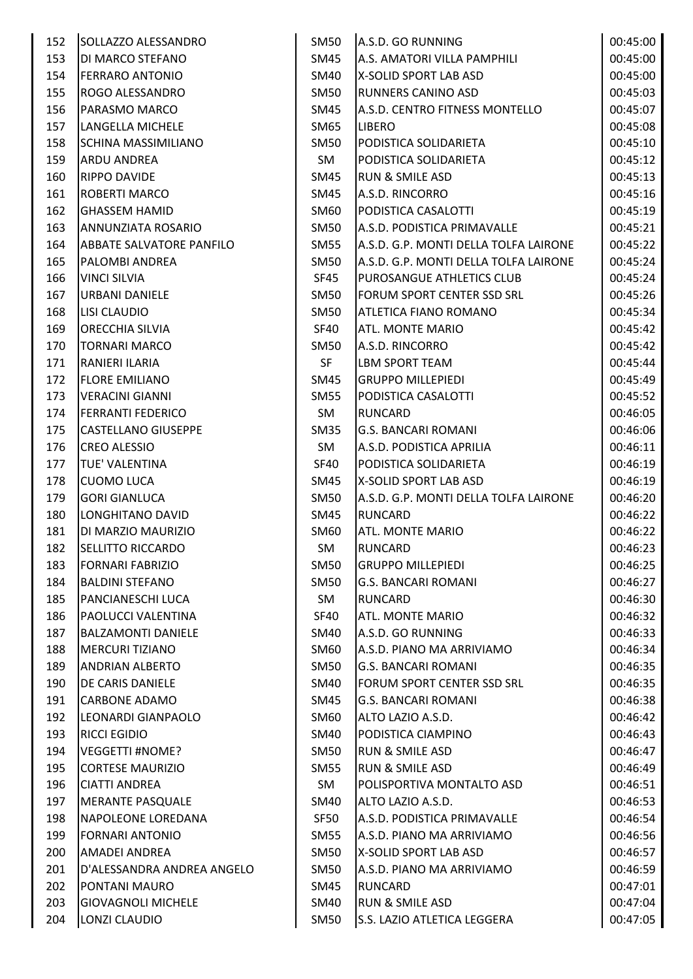| 152 | SOLLAZZO ALESSANDRO        | <b>SM50</b> | A.S.D. GO RUNNING                     | 00:45:00 |
|-----|----------------------------|-------------|---------------------------------------|----------|
| 153 | DI MARCO STEFANO           | SM45        | A.S. AMATORI VILLA PAMPHILI           | 00:45:00 |
| 154 | <b>FERRARO ANTONIO</b>     | SM40        | X-SOLID SPORT LAB ASD                 | 00:45:00 |
| 155 | ROGO ALESSANDRO            | <b>SM50</b> | <b>RUNNERS CANINO ASD</b>             | 00:45:03 |
| 156 | PARASMO MARCO              | <b>SM45</b> | A.S.D. CENTRO FITNESS MONTELLO        | 00:45:07 |
| 157 | LANGELLA MICHELE           | <b>SM65</b> | <b>LIBERO</b>                         | 00:45:08 |
| 158 | <b>SCHINA MASSIMILIANO</b> | <b>SM50</b> | PODISTICA SOLIDARIETA                 | 00:45:10 |
| 159 | <b>ARDU ANDREA</b>         | SM          | PODISTICA SOLIDARIETA                 | 00:45:12 |
| 160 | RIPPO DAVIDE               | <b>SM45</b> | <b>RUN &amp; SMILE ASD</b>            | 00:45:13 |
| 161 | <b>ROBERTI MARCO</b>       | <b>SM45</b> | A.S.D. RINCORRO                       | 00:45:16 |
| 162 | <b>GHASSEM HAMID</b>       | <b>SM60</b> | PODISTICA CASALOTTI                   | 00:45:19 |
| 163 | ANNUNZIATA ROSARIO         | <b>SM50</b> | A.S.D. PODISTICA PRIMAVALLE           | 00:45:21 |
| 164 | ABBATE SALVATORE PANFILO   | <b>SM55</b> | A.S.D. G.P. MONTI DELLA TOLFA LAIRONE | 00:45:22 |
| 165 | PALOMBI ANDREA             | <b>SM50</b> | A.S.D. G.P. MONTI DELLA TOLFA LAIRONE | 00:45:24 |
| 166 | <b>VINCI SILVIA</b>        | SF45        | <b>PUROSANGUE ATHLETICS CLUB</b>      | 00:45:24 |
| 167 | <b>URBANI DANIELE</b>      | <b>SM50</b> | <b>FORUM SPORT CENTER SSD SRL</b>     | 00:45:26 |
| 168 | <b>LISI CLAUDIO</b>        | <b>SM50</b> | <b>ATLETICA FIANO ROMANO</b>          | 00:45:34 |
| 169 | ORECCHIA SILVIA            | <b>SF40</b> | <b>ATL. MONTE MARIO</b>               | 00:45:42 |
| 170 | <b>TORNARI MARCO</b>       | <b>SM50</b> | A.S.D. RINCORRO                       | 00:45:42 |
| 171 | RANIERI ILARIA             | <b>SF</b>   | <b>LBM SPORT TEAM</b>                 | 00:45:44 |
| 172 | <b>FLORE EMILIANO</b>      | SM45        | <b>GRUPPO MILLEPIEDI</b>              | 00:45:49 |
| 173 | <b>VERACINI GIANNI</b>     | <b>SM55</b> | PODISTICA CASALOTTI                   | 00:45:52 |
| 174 | <b>FERRANTI FEDERICO</b>   | SM          | <b>RUNCARD</b>                        | 00:46:05 |
| 175 | <b>CASTELLANO GIUSEPPE</b> | <b>SM35</b> | <b>G.S. BANCARI ROMANI</b>            | 00:46:06 |
| 176 | <b>CREO ALESSIO</b>        | SM          | A.S.D. PODISTICA APRILIA              | 00:46:11 |
| 177 | TUE' VALENTINA             | SF40        | PODISTICA SOLIDARIETA                 | 00:46:19 |
| 178 | <b>CUOMO LUCA</b>          | SM45        | X-SOLID SPORT LAB ASD                 | 00:46:19 |
| 179 | <b>GORI GIANLUCA</b>       | <b>SM50</b> | A.S.D. G.P. MONTI DELLA TOLFA LAIRONE | 00:46:20 |
| 180 | LONGHITANO DAVID           | <b>SM45</b> | <b>RUNCARD</b>                        | 00:46:22 |
| 181 | DI MARZIO MAURIZIO         | SM60        | <b>ATL. MONTE MARIO</b>               | 00:46:22 |
| 182 | <b>SELLITTO RICCARDO</b>   | SM          | <b>RUNCARD</b>                        | 00:46:23 |
| 183 | <b>FORNARI FABRIZIO</b>    | <b>SM50</b> | <b>GRUPPO MILLEPIEDI</b>              | 00:46:25 |
| 184 | <b>BALDINI STEFANO</b>     | <b>SM50</b> | <b>G.S. BANCARI ROMANI</b>            | 00:46:27 |
| 185 | PANCIANESCHI LUCA          | SM          | <b>RUNCARD</b>                        | 00:46:30 |
| 186 | PAOLUCCI VALENTINA         | <b>SF40</b> | <b>ATL. MONTE MARIO</b>               | 00:46:32 |
| 187 | <b>BALZAMONTI DANIELE</b>  | <b>SM40</b> | A.S.D. GO RUNNING                     | 00:46:33 |
| 188 | <b>MERCURI TIZIANO</b>     | SM60        | A.S.D. PIANO MA ARRIVIAMO             | 00:46:34 |
| 189 | <b>ANDRIAN ALBERTO</b>     | <b>SM50</b> | <b>G.S. BANCARI ROMANI</b>            | 00:46:35 |
| 190 | DE CARIS DANIELE           | <b>SM40</b> | <b>FORUM SPORT CENTER SSD SRL</b>     | 00:46:35 |
| 191 | <b>CARBONE ADAMO</b>       | SM45        | <b>G.S. BANCARI ROMANI</b>            | 00:46:38 |
| 192 | LEONARDI GIANPAOLO         | <b>SM60</b> | ALTO LAZIO A.S.D.                     | 00:46:42 |
| 193 | <b>RICCI EGIDIO</b>        | <b>SM40</b> | <b>PODISTICA CIAMPINO</b>             | 00:46:43 |
| 194 | <b>VEGGETTI #NOME?</b>     | <b>SM50</b> | <b>RUN &amp; SMILE ASD</b>            | 00:46:47 |
| 195 | <b>CORTESE MAURIZIO</b>    | <b>SM55</b> | <b>RUN &amp; SMILE ASD</b>            | 00:46:49 |
| 196 | <b>CIATTI ANDREA</b>       | SM          | POLISPORTIVA MONTALTO ASD             | 00:46:51 |
| 197 | <b>MERANTE PASQUALE</b>    | SM40        | ALTO LAZIO A.S.D.                     | 00:46:53 |
| 198 | NAPOLEONE LOREDANA         | SF50        | A.S.D. PODISTICA PRIMAVALLE           | 00:46:54 |
| 199 | <b>FORNARI ANTONIO</b>     | <b>SM55</b> | A.S.D. PIANO MA ARRIVIAMO             | 00:46:56 |
| 200 | AMADEI ANDREA              | <b>SM50</b> | X-SOLID SPORT LAB ASD                 | 00:46:57 |
| 201 | D'ALESSANDRA ANDREA ANGELO | <b>SM50</b> | A.S.D. PIANO MA ARRIVIAMO             | 00:46:59 |
| 202 | PONTANI MAURO              | <b>SM45</b> | <b>RUNCARD</b>                        | 00:47:01 |
| 203 | <b>GIOVAGNOLI MICHELE</b>  | <b>SM40</b> | <b>RUN &amp; SMILE ASD</b>            | 00:47:04 |
| 204 | LONZI CLAUDIO              | <b>SM50</b> | S.S. LAZIO ATLETICA LEGGERA           | 00:47:05 |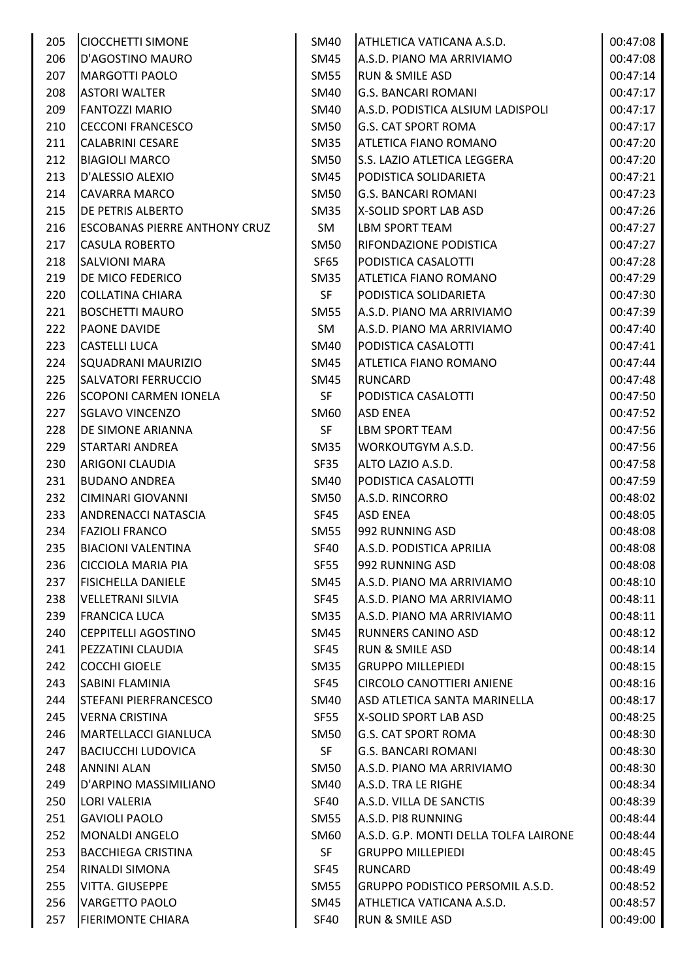| 205 | <b>CIOCCHETTI SIMONE</b>             | SM40             | ATHLETICA VATICANA A.S.D.             | 00:47:08 |
|-----|--------------------------------------|------------------|---------------------------------------|----------|
| 206 | D'AGOSTINO MAURO                     | SM45             | A.S.D. PIANO MA ARRIVIAMO             | 00:47:08 |
| 207 | <b>MARGOTTI PAOLO</b>                | <b>SM55</b>      | <b>RUN &amp; SMILE ASD</b>            | 00:47:14 |
| 208 | <b>ASTORI WALTER</b>                 | SM40             | <b>G.S. BANCARI ROMANI</b>            | 00:47:17 |
| 209 | <b>FANTOZZI MARIO</b>                | <b>SM40</b>      | A.S.D. PODISTICA ALSIUM LADISPOLI     | 00:47:17 |
| 210 | <b>CECCONI FRANCESCO</b>             | <b>SM50</b>      | <b>G.S. CAT SPORT ROMA</b>            | 00:47:17 |
| 211 | <b>CALABRINI CESARE</b>              | SM35             | ATLETICA FIANO ROMANO                 | 00:47:20 |
| 212 | <b>BIAGIOLI MARCO</b>                | <b>SM50</b>      | S.S. LAZIO ATLETICA LEGGERA           | 00:47:20 |
| 213 | D'ALESSIO ALEXIO                     | <b>SM45</b>      | PODISTICA SOLIDARIETA                 | 00:47:21 |
| 214 | <b>CAVARRA MARCO</b>                 | <b>SM50</b>      | <b>G.S. BANCARI ROMANI</b>            | 00:47:23 |
| 215 | DE PETRIS ALBERTO                    | SM35             | X-SOLID SPORT LAB ASD                 | 00:47:26 |
| 216 | <b>ESCOBANAS PIERRE ANTHONY CRUZ</b> | SM               | LBM SPORT TEAM                        | 00:47:27 |
| 217 | <b>CASULA ROBERTO</b>                | <b>SM50</b>      | <b>RIFONDAZIONE PODISTICA</b>         | 00:47:27 |
| 218 | <b>SALVIONI MARA</b>                 | SF65             | PODISTICA CASALOTTI                   | 00:47:28 |
| 219 | DE MICO FEDERICO                     | SM <sub>35</sub> | <b>ATLETICA FIANO ROMANO</b>          | 00:47:29 |
| 220 | <b>COLLATINA CHIARA</b>              | SF               | PODISTICA SOLIDARIETA                 | 00:47:30 |
| 221 | <b>BOSCHETTI MAURO</b>               | SM55             | A.S.D. PIANO MA ARRIVIAMO             | 00:47:39 |
| 222 | PAONE DAVIDE                         | SM               | A.S.D. PIANO MA ARRIVIAMO             | 00:47:40 |
| 223 | <b>CASTELLI LUCA</b>                 | <b>SM40</b>      | PODISTICA CASALOTTI                   | 00:47:41 |
| 224 | SQUADRANI MAURIZIO                   | SM45             | <b>ATLETICA FIANO ROMANO</b>          | 00:47:44 |
| 225 | <b>SALVATORI FERRUCCIO</b>           | SM45             | <b>RUNCARD</b>                        | 00:47:48 |
| 226 | <b>SCOPONI CARMEN IONELA</b>         | SF               | PODISTICA CASALOTTI                   | 00:47:50 |
| 227 | <b>SGLAVO VINCENZO</b>               | SM <sub>60</sub> | <b>ASD ENEA</b>                       | 00:47:52 |
| 228 | DE SIMONE ARIANNA                    | <b>SF</b>        | <b>LBM SPORT TEAM</b>                 | 00:47:56 |
| 229 | <b>STARTARI ANDREA</b>               | SM <sub>35</sub> | <b>WORKOUTGYM A.S.D.</b>              | 00:47:56 |
| 230 | <b>ARIGONI CLAUDIA</b>               | SF35             | ALTO LAZIO A.S.D.                     | 00:47:58 |
| 231 | <b>BUDANO ANDREA</b>                 | SM40             | PODISTICA CASALOTTI                   | 00:47:59 |
| 232 | <b>CIMINARI GIOVANNI</b>             | <b>SM50</b>      | A.S.D. RINCORRO                       | 00:48:02 |
| 233 | <b>ANDRENACCI NATASCIA</b>           | SF45             | <b>ASD ENEA</b>                       | 00:48:05 |
| 234 | <b>FAZIOLI FRANCO</b>                | <b>SM55</b>      | 992 RUNNING ASD                       | 00:48:08 |
| 235 | <b>BIACIONI VALENTINA</b>            | <b>SF40</b>      | A.S.D. PODISTICA APRILIA              | 00:48:08 |
| 236 | <b>CICCIOLA MARIA PIA</b>            | <b>SF55</b>      | 992 RUNNING ASD                       | 00:48:08 |
| 237 | <b>FISICHELLA DANIELE</b>            | SM45             | A.S.D. PIANO MA ARRIVIAMO             | 00:48:10 |
| 238 | <b>VELLETRANI SILVIA</b>             | <b>SF45</b>      | A.S.D. PIANO MA ARRIVIAMO             | 00:48:11 |
| 239 | <b>FRANCICA LUCA</b>                 | <b>SM35</b>      | A.S.D. PIANO MA ARRIVIAMO             | 00:48:11 |
| 240 | <b>CEPPITELLI AGOSTINO</b>           | SM45             | <b>RUNNERS CANINO ASD</b>             | 00:48:12 |
| 241 | PEZZATINI CLAUDIA                    | SF45             | <b>RUN &amp; SMILE ASD</b>            | 00:48:14 |
| 242 | <b>COCCHI GIOELE</b>                 | <b>SM35</b>      | <b>GRUPPO MILLEPIEDI</b>              | 00:48:15 |
| 243 | SABINI FLAMINIA                      | <b>SF45</b>      | <b>CIRCOLO CANOTTIERI ANIENE</b>      | 00:48:16 |
| 244 | <b>STEFANI PIERFRANCESCO</b>         | SM40             | ASD ATLETICA SANTA MARINELLA          | 00:48:17 |
| 245 | <b>VERNA CRISTINA</b>                | <b>SF55</b>      | X-SOLID SPORT LAB ASD                 | 00:48:25 |
| 246 | <b>MARTELLACCI GIANLUCA</b>          |                  | <b>G.S. CAT SPORT ROMA</b>            |          |
|     |                                      | SM50             |                                       | 00:48:30 |
| 247 | <b>BACIUCCHI LUDOVICA</b>            | <b>SF</b>        | <b>G.S. BANCARI ROMANI</b>            | 00:48:30 |
| 248 | <b>ANNINI ALAN</b>                   | <b>SM50</b>      | A.S.D. PIANO MA ARRIVIAMO             | 00:48:30 |
| 249 | D'ARPINO MASSIMILIANO                | SM40             | A.S.D. TRA LE RIGHE                   | 00:48:34 |
| 250 | <b>LORI VALERIA</b>                  | <b>SF40</b>      | A.S.D. VILLA DE SANCTIS               | 00:48:39 |
| 251 | <b>GAVIOLI PAOLO</b>                 | <b>SM55</b>      | A.S.D. PI8 RUNNING                    | 00:48:44 |
| 252 | <b>MONALDI ANGELO</b>                | SM <sub>60</sub> | A.S.D. G.P. MONTI DELLA TOLFA LAIRONE | 00:48:44 |
| 253 | <b>BACCHIEGA CRISTINA</b>            | SF               | <b>GRUPPO MILLEPIEDI</b>              | 00:48:45 |
| 254 | RINALDI SIMONA                       | <b>SF45</b>      | <b>RUNCARD</b>                        | 00:48:49 |
| 255 | VITTA. GIUSEPPE                      | SM55             | GRUPPO PODISTICO PERSOMIL A.S.D.      | 00:48:52 |
| 256 | <b>VARGETTO PAOLO</b>                | SM45             | ATHLETICA VATICANA A.S.D.             | 00:48:57 |
| 257 | <b>FIERIMONTE CHIARA</b>             | <b>SF40</b>      | RUN & SMILE ASD                       | 00:49:00 |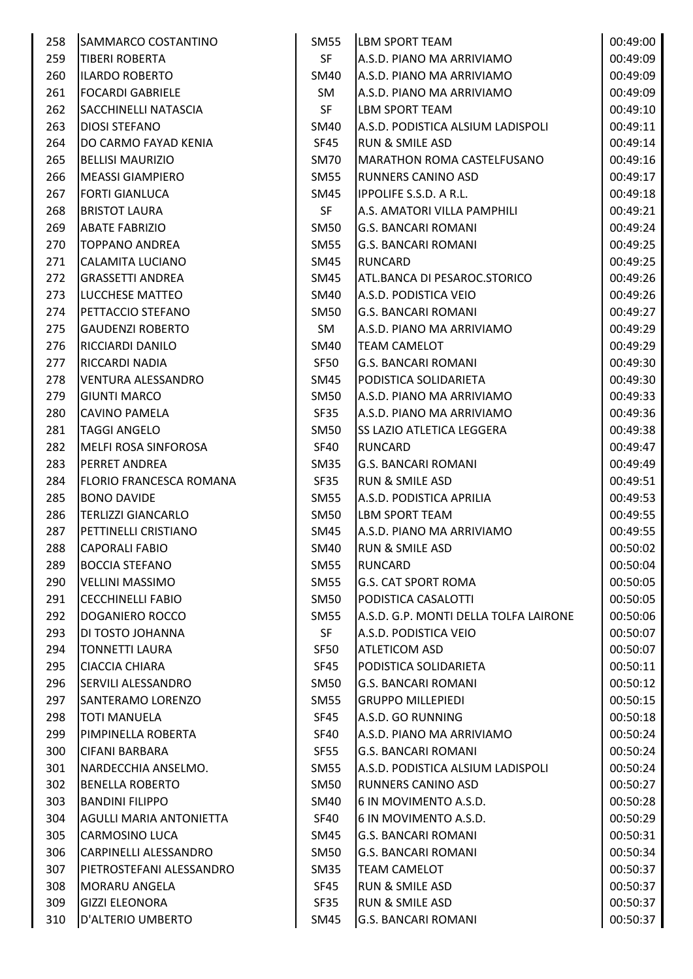| 258 | <b>SAMMARCO COSTANTINO</b>     | SM55        | <b>LBM SPORT TEAM</b>                 | 00:49:00 |
|-----|--------------------------------|-------------|---------------------------------------|----------|
| 259 | <b>TIBERI ROBERTA</b>          | <b>SF</b>   | A.S.D. PIANO MA ARRIVIAMO             | 00:49:09 |
| 260 | <b>ILARDO ROBERTO</b>          | SM40        | A.S.D. PIANO MA ARRIVIAMO             | 00:49:09 |
| 261 | <b>FOCARDI GABRIELE</b>        | SM          | A.S.D. PIANO MA ARRIVIAMO             | 00:49:09 |
| 262 | SACCHINELLI NATASCIA           | <b>SF</b>   | <b>LBM SPORT TEAM</b>                 | 00:49:10 |
| 263 | <b>DIOSI STEFANO</b>           | SM40        | A.S.D. PODISTICA ALSIUM LADISPOLI     | 00:49:11 |
| 264 | DO CARMO FAYAD KENIA           | SF45        | <b>RUN &amp; SMILE ASD</b>            | 00:49:14 |
| 265 | <b>BELLISI MAURIZIO</b>        | <b>SM70</b> | <b>MARATHON ROMA CASTELFUSANO</b>     | 00:49:16 |
| 266 | <b>MEASSI GIAMPIERO</b>        | <b>SM55</b> | <b>RUNNERS CANINO ASD</b>             | 00:49:17 |
| 267 | <b>FORTI GIANLUCA</b>          | SM45        | <b>IPPOLIFE S.S.D. A R.L.</b>         | 00:49:18 |
| 268 | <b>BRISTOT LAURA</b>           | SF          | A.S. AMATORI VILLA PAMPHILI           | 00:49:21 |
| 269 | <b>ABATE FABRIZIO</b>          | <b>SM50</b> | <b>G.S. BANCARI ROMANI</b>            | 00:49:24 |
| 270 | <b>TOPPANO ANDREA</b>          | <b>SM55</b> | <b>G.S. BANCARI ROMANI</b>            | 00:49:25 |
| 271 | <b>CALAMITA LUCIANO</b>        | <b>SM45</b> | <b>RUNCARD</b>                        | 00:49:25 |
| 272 | <b>GRASSETTI ANDREA</b>        | <b>SM45</b> | ATL.BANCA DI PESAROC.STORICO          | 00:49:26 |
| 273 | LUCCHESE MATTEO                | <b>SM40</b> | A.S.D. PODISTICA VEIO                 | 00:49:26 |
| 274 | PETTACCIO STEFANO              | <b>SM50</b> | <b>G.S. BANCARI ROMANI</b>            | 00:49:27 |
| 275 | <b>GAUDENZI ROBERTO</b>        | SM          | A.S.D. PIANO MA ARRIVIAMO             | 00:49:29 |
| 276 | RICCIARDI DANILO               | <b>SM40</b> | <b>TEAM CAMELOT</b>                   | 00:49:29 |
| 277 | RICCARDI NADIA                 | SF50        | G.S. BANCARI ROMANI                   | 00:49:30 |
| 278 | <b>VENTURA ALESSANDRO</b>      | SM45        | PODISTICA SOLIDARIETA                 | 00:49:30 |
| 279 | <b>GIUNTI MARCO</b>            | <b>SM50</b> | A.S.D. PIANO MA ARRIVIAMO             | 00:49:33 |
| 280 | <b>CAVINO PAMELA</b>           | <b>SF35</b> | A.S.D. PIANO MA ARRIVIAMO             | 00:49:36 |
| 281 | <b>TAGGI ANGELO</b>            | <b>SM50</b> | <b>SS LAZIO ATLETICA LEGGERA</b>      | 00:49:38 |
| 282 | MELFI ROSA SINFOROSA           | SF40        | <b>RUNCARD</b>                        | 00:49:47 |
| 283 | <b>PERRET ANDREA</b>           | <b>SM35</b> | <b>G.S. BANCARI ROMANI</b>            | 00:49:49 |
| 284 | <b>FLORIO FRANCESCA ROMANA</b> | <b>SF35</b> | <b>RUN &amp; SMILE ASD</b>            | 00:49:51 |
| 285 | <b>BONO DAVIDE</b>             | <b>SM55</b> | A.S.D. PODISTICA APRILIA              | 00:49:53 |
| 286 | <b>TERLIZZI GIANCARLO</b>      | <b>SM50</b> | <b>LBM SPORT TEAM</b>                 | 00:49:55 |
| 287 | PETTINELLI CRISTIANO           | <b>SM45</b> | A.S.D. PIANO MA ARRIVIAMO             | 00:49:55 |
| 288 | <b>CAPORALI FABIO</b>          | <b>SM40</b> | <b>RUN &amp; SMILE ASD</b>            | 00:50:02 |
| 289 | <b>BOCCIA STEFANO</b>          | <b>SM55</b> | <b>RUNCARD</b>                        | 00:50:04 |
| 290 | <b>VELLINI MASSIMO</b>         | <b>SM55</b> | <b>G.S. CAT SPORT ROMA</b>            | 00:50:05 |
| 291 | <b>CECCHINELLI FABIO</b>       | <b>SM50</b> | PODISTICA CASALOTTI                   | 00:50:05 |
| 292 | <b>DOGANIERO ROCCO</b>         | <b>SM55</b> | A.S.D. G.P. MONTI DELLA TOLFA LAIRONE | 00:50:06 |
| 293 | DI TOSTO JOHANNA               | <b>SF</b>   | A.S.D. PODISTICA VEIO                 | 00:50:07 |
| 294 | <b>TONNETTI LAURA</b>          | SF50        | <b>ATLETICOM ASD</b>                  | 00:50:07 |
| 295 | <b>CIACCIA CHIARA</b>          | SF45        | PODISTICA SOLIDARIETA                 | 00:50:11 |
| 296 | SERVILI ALESSANDRO             | <b>SM50</b> | <b>G.S. BANCARI ROMANI</b>            | 00:50:12 |
| 297 | SANTERAMO LORENZO              | <b>SM55</b> | <b>GRUPPO MILLEPIEDI</b>              | 00:50:15 |
| 298 | <b>TOTI MANUELA</b>            | SF45        | A.S.D. GO RUNNING                     | 00:50:18 |
| 299 | PIMPINELLA ROBERTA             | SF40        | A.S.D. PIANO MA ARRIVIAMO             | 00:50:24 |
| 300 | <b>CIFANI BARBARA</b>          | <b>SF55</b> | <b>G.S. BANCARI ROMANI</b>            | 00:50:24 |
| 301 | NARDECCHIA ANSELMO.            | <b>SM55</b> | A.S.D. PODISTICA ALSIUM LADISPOLI     | 00:50:24 |
| 302 | <b>BENELLA ROBERTO</b>         | <b>SM50</b> | <b>RUNNERS CANINO ASD</b>             | 00:50:27 |
| 303 | <b>BANDINI FILIPPO</b>         | SM40        | 6 IN MOVIMENTO A.S.D.                 | 00:50:28 |
| 304 | <b>AGULLI MARIA ANTONIETTA</b> | <b>SF40</b> | 6 IN MOVIMENTO A.S.D.                 | 00:50:29 |
| 305 | <b>CARMOSINO LUCA</b>          | <b>SM45</b> | <b>G.S. BANCARI ROMANI</b>            | 00:50:31 |
| 306 | CARPINELLI ALESSANDRO          | <b>SM50</b> | <b>G.S. BANCARI ROMANI</b>            | 00:50:34 |
| 307 | PIETROSTEFANI ALESSANDRO       | <b>SM35</b> | <b>TEAM CAMELOT</b>                   | 00:50:37 |
| 308 | <b>MORARU ANGELA</b>           | SF45        | <b>RUN &amp; SMILE ASD</b>            | 00:50:37 |
| 309 | <b>GIZZI ELEONORA</b>          | SF35        | <b>RUN &amp; SMILE ASD</b>            | 00:50:37 |
| 310 | D'ALTERIO UMBERTO              | <b>SM45</b> | <b>G.S. BANCARI ROMANI</b>            | 00:50:37 |
|     |                                |             |                                       |          |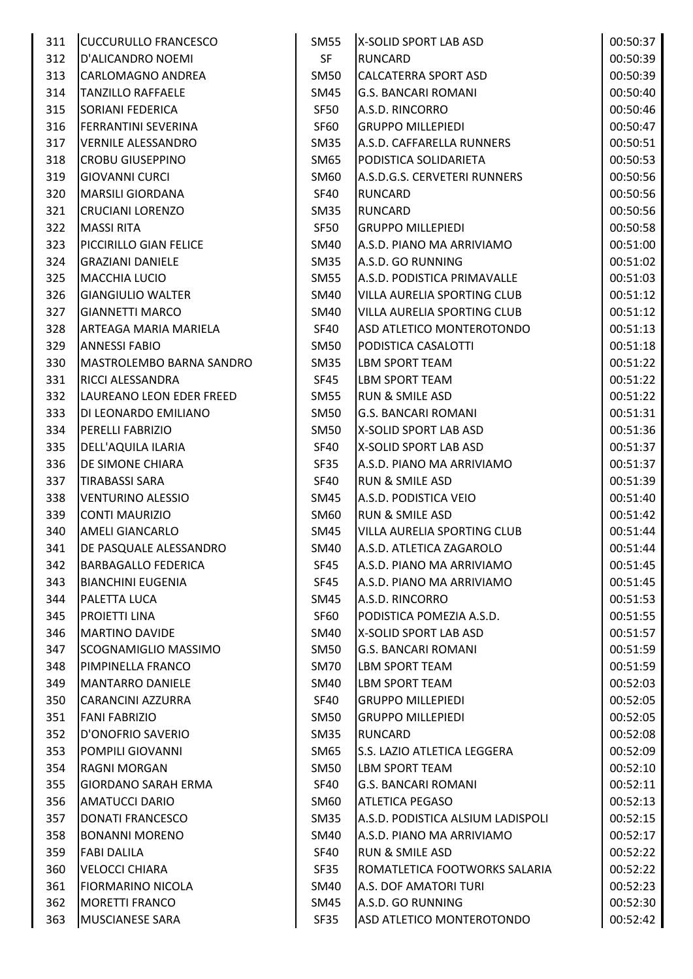| 311 | <b>CUCCURULLO FRANCESCO</b> | SM55             | X-SOLID SPORT LAB ASD              | 00:50:37 |
|-----|-----------------------------|------------------|------------------------------------|----------|
| 312 | D'ALICANDRO NOEMI           | <b>SF</b>        | <b>RUNCARD</b>                     | 00:50:39 |
| 313 | <b>CARLOMAGNO ANDREA</b>    | <b>SM50</b>      | <b>CALCATERRA SPORT ASD</b>        | 00:50:39 |
| 314 | <b>TANZILLO RAFFAELE</b>    | <b>SM45</b>      | <b>G.S. BANCARI ROMANI</b>         | 00:50:40 |
| 315 | <b>SORIANI FEDERICA</b>     | SF50             | A.S.D. RINCORRO                    | 00:50:46 |
| 316 | <b>FERRANTINI SEVERINA</b>  | SF60             | <b>GRUPPO MILLEPIEDI</b>           | 00:50:47 |
| 317 | <b>VERNILE ALESSANDRO</b>   | SM <sub>35</sub> | A.S.D. CAFFARELLA RUNNERS          | 00:50:51 |
| 318 | <b>CROBU GIUSEPPINO</b>     | <b>SM65</b>      | PODISTICA SOLIDARIETA              | 00:50:53 |
| 319 | <b>GIOVANNI CURCI</b>       | SM60             | A.S.D.G.S. CERVETERI RUNNERS       | 00:50:56 |
| 320 | <b>MARSILI GIORDANA</b>     | <b>SF40</b>      | <b>RUNCARD</b>                     | 00:50:56 |
| 321 | <b>CRUCIANI LORENZO</b>     | <b>SM35</b>      | <b>RUNCARD</b>                     | 00:50:56 |
|     |                             |                  |                                    |          |
| 322 | <b>MASSI RITA</b>           | SF50             | <b>GRUPPO MILLEPIEDI</b>           | 00:50:58 |
| 323 | PICCIRILLO GIAN FELICE      | <b>SM40</b>      | A.S.D. PIANO MA ARRIVIAMO          | 00:51:00 |
| 324 | <b>GRAZIANI DANIELE</b>     | <b>SM35</b>      | A.S.D. GO RUNNING                  | 00:51:02 |
| 325 | <b>MACCHIA LUCIO</b>        | <b>SM55</b>      | A.S.D. PODISTICA PRIMAVALLE        | 00:51:03 |
| 326 | <b>GIANGIULIO WALTER</b>    | <b>SM40</b>      | VILLA AURELIA SPORTING CLUB        | 00:51:12 |
| 327 | <b>GIANNETTI MARCO</b>      | SM40             | VILLA AURELIA SPORTING CLUB        | 00:51:12 |
| 328 | ARTEAGA MARIA MARIELA       | <b>SF40</b>      | ASD ATLETICO MONTEROTONDO          | 00:51:13 |
| 329 | <b>ANNESSI FABIO</b>        | <b>SM50</b>      | PODISTICA CASALOTTI                | 00:51:18 |
| 330 | MASTROLEMBO BARNA SANDRO    | <b>SM35</b>      | <b>LBM SPORT TEAM</b>              | 00:51:22 |
| 331 | <b>RICCI ALESSANDRA</b>     | SF45             | LBM SPORT TEAM                     | 00:51:22 |
| 332 | LAUREANO LEON EDER FREED    | <b>SM55</b>      | <b>RUN &amp; SMILE ASD</b>         | 00:51:22 |
| 333 | DI LEONARDO EMILIANO        | <b>SM50</b>      | <b>G.S. BANCARI ROMANI</b>         | 00:51:31 |
| 334 | <b>PERELLI FABRIZIO</b>     | <b>SM50</b>      | X-SOLID SPORT LAB ASD              | 00:51:36 |
| 335 | DELL'AQUILA ILARIA          | SF40             | X-SOLID SPORT LAB ASD              | 00:51:37 |
| 336 | <b>DE SIMONE CHIARA</b>     | SF35             | A.S.D. PIANO MA ARRIVIAMO          | 00:51:37 |
| 337 | <b>TIRABASSI SARA</b>       | SF40             | <b>RUN &amp; SMILE ASD</b>         | 00:51:39 |
| 338 | <b>VENTURINO ALESSIO</b>    | <b>SM45</b>      | A.S.D. PODISTICA VEIO              | 00:51:40 |
| 339 | <b>CONTI MAURIZIO</b>       | <b>SM60</b>      | <b>RUN &amp; SMILE ASD</b>         | 00:51:42 |
| 340 | <b>AMELI GIANCARLO</b>      | <b>SM45</b>      | <b>VILLA AURELIA SPORTING CLUB</b> | 00:51:44 |
| 341 | DE PASQUALE ALESSANDRO      | SM40             | A.S.D. ATLETICA ZAGAROLO           | 00:51:44 |
| 342 | <b>BARBAGALLO FEDERICA</b>  | SF45             | A.S.D. PIANO MA ARRIVIAMO          | 00:51:45 |
| 343 | <b>BIANCHINI EUGENIA</b>    | SF45             | A.S.D. PIANO MA ARRIVIAMO          | 00:51:45 |
| 344 | PALETTA LUCA                | SM45             | A.S.D. RINCORRO                    | 00:51:53 |
| 345 | <b>PROJETTI LINA</b>        | <b>SF60</b>      | PODISTICA POMEZIA A.S.D.           | 00:51:55 |
| 346 | <b>MARTINO DAVIDE</b>       | SM40             | X-SOLID SPORT LAB ASD              | 00:51:57 |
| 347 | SCOGNAMIGLIO MASSIMO        | <b>SM50</b>      | <b>G.S. BANCARI ROMANI</b>         | 00:51:59 |
| 348 | <b>PIMPINELLA FRANCO</b>    | <b>SM70</b>      | <b>LBM SPORT TEAM</b>              | 00:51:59 |
| 349 | <b>MANTARRO DANIELE</b>     | SM40             | <b>LBM SPORT TEAM</b>              | 00:52:03 |
| 350 | <b>CARANCINI AZZURRA</b>    | <b>SF40</b>      | <b>GRUPPO MILLEPIEDI</b>           | 00:52:05 |
| 351 | <b>FANI FABRIZIO</b>        | <b>SM50</b>      | <b>GRUPPO MILLEPIEDI</b>           | 00:52:05 |
| 352 | D'ONOFRIO SAVERIO           | <b>SM35</b>      | <b>RUNCARD</b>                     | 00:52:08 |
| 353 | POMPILI GIOVANNI            | <b>SM65</b>      | <b>S.S. LAZIO ATLETICA LEGGERA</b> | 00:52:09 |
| 354 | <b>RAGNI MORGAN</b>         | <b>SM50</b>      | <b>LBM SPORT TEAM</b>              | 00:52:10 |
|     |                             |                  |                                    |          |
| 355 | <b>GIORDANO SARAH ERMA</b>  | <b>SF40</b>      | <b>G.S. BANCARI ROMANI</b>         | 00:52:11 |
| 356 | <b>AMATUCCI DARIO</b>       | <b>SM60</b>      | <b>ATLETICA PEGASO</b>             | 00:52:13 |
| 357 | DONATI FRANCESCO            | <b>SM35</b>      | A.S.D. PODISTICA ALSIUM LADISPOLI  | 00:52:15 |
| 358 | <b>BONANNI MORENO</b>       | SM40             | A.S.D. PIANO MA ARRIVIAMO          | 00:52:17 |
| 359 | <b>FABI DALILA</b>          | SF40             | <b>RUN &amp; SMILE ASD</b>         | 00:52:22 |
| 360 | VELOCCI CHIARA              | SF35             | ROMATLETICA FOOTWORKS SALARIA      | 00:52:22 |
| 361 | <b>FIORMARINO NICOLA</b>    | <b>SM40</b>      | A.S. DOF AMATORI TURI              | 00:52:23 |
| 362 | <b>MORETTI FRANCO</b>       | SM45             | A.S.D. GO RUNNING                  | 00:52:30 |
| 363 | <b>MUSCIANESE SARA</b>      | SF35             | ASD ATLETICO MONTEROTONDO          | 00:52:42 |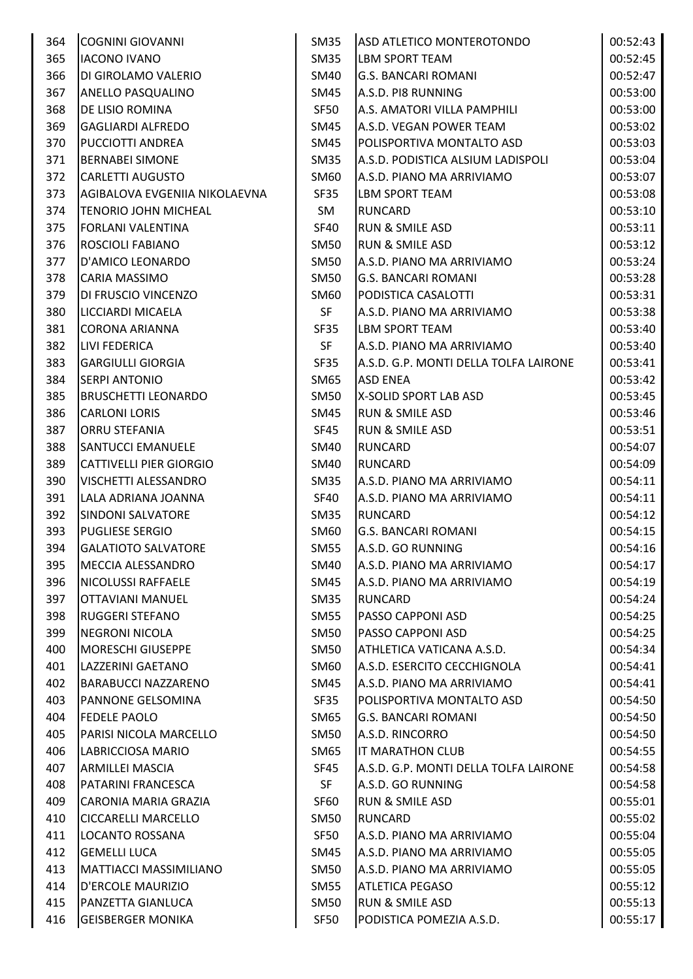| 364 | <b>COGNINI GIOVANNI</b>        | <b>SM35</b> | ASD ATLETICO MONTEROTONDO             | 00:52:43 |
|-----|--------------------------------|-------------|---------------------------------------|----------|
| 365 | <b>IACONO IVANO</b>            | <b>SM35</b> | LBM SPORT TEAM                        | 00:52:45 |
| 366 | DI GIROLAMO VALERIO            | SM40        | <b>G.S. BANCARI ROMANI</b>            | 00:52:47 |
| 367 | ANELLO PASQUALINO              | SM45        | A.S.D. PI8 RUNNING                    | 00:53:00 |
| 368 | DE LISIO ROMINA                | <b>SF50</b> | A.S. AMATORI VILLA PAMPHILI           | 00:53:00 |
| 369 | <b>GAGLIARDI ALFREDO</b>       | SM45        | A.S.D. VEGAN POWER TEAM               | 00:53:02 |
| 370 | PUCCIOTTI ANDREA               | SM45        | POLISPORTIVA MONTALTO ASD             | 00:53:03 |
| 371 | <b>BERNABEI SIMONE</b>         | <b>SM35</b> | A.S.D. PODISTICA ALSIUM LADISPOLI     | 00:53:04 |
| 372 | <b>CARLETTI AUGUSTO</b>        | SM60        | A.S.D. PIANO MA ARRIVIAMO             | 00:53:07 |
| 373 | AGIBALOVA EVGENIIA NIKOLAEVNA  | SF35        | LBM SPORT TEAM                        | 00:53:08 |
| 374 | <b>TENORIO JOHN MICHEAL</b>    | SM          | <b>RUNCARD</b>                        | 00:53:10 |
| 375 | <b>FORLANI VALENTINA</b>       | SF40        | RUN & SMILE ASD                       | 00:53:11 |
| 376 | ROSCIOLI FABIANO               | <b>SM50</b> | <b>RUN &amp; SMILE ASD</b>            | 00:53:12 |
| 377 | D'AMICO LEONARDO               | <b>SM50</b> | A.S.D. PIANO MA ARRIVIAMO             | 00:53:24 |
| 378 | CARIA MASSIMO                  | <b>SM50</b> | <b>G.S. BANCARI ROMANI</b>            | 00:53:28 |
| 379 | DI FRUSCIO VINCENZO            | SM60        | PODISTICA CASALOTTI                   | 00:53:31 |
| 380 | LICCIARDI MICAELA              | <b>SF</b>   | A.S.D. PIANO MA ARRIVIAMO             | 00:53:38 |
| 381 | <b>CORONA ARIANNA</b>          | SF35        | LBM SPORT TEAM                        | 00:53:40 |
| 382 | LIVI FEDERICA                  | <b>SF</b>   | A.S.D. PIANO MA ARRIVIAMO             | 00:53:40 |
| 383 | <b>GARGIULLI GIORGIA</b>       | SF35        | A.S.D. G.P. MONTI DELLA TOLFA LAIRONE | 00:53:41 |
| 384 | <b>SERPI ANTONIO</b>           | SM65        | <b>ASD ENEA</b>                       | 00:53:42 |
| 385 | <b>BRUSCHETTI LEONARDO</b>     | <b>SM50</b> | X-SOLID SPORT LAB ASD                 | 00:53:45 |
| 386 | <b>CARLONI LORIS</b>           | SM45        | RUN & SMILE ASD                       | 00:53:46 |
| 387 | ORRU STEFANIA                  | SF45        | <b>RUN &amp; SMILE ASD</b>            | 00:53:51 |
| 388 | <b>SANTUCCI EMANUELE</b>       | <b>SM40</b> | <b>RUNCARD</b>                        | 00:54:07 |
| 389 | <b>CATTIVELLI PIER GIORGIO</b> | <b>SM40</b> | RUNCARD                               | 00:54:09 |
| 390 | VISCHETTI ALESSANDRO           | <b>SM35</b> | A.S.D. PIANO MA ARRIVIAMO             | 00:54:11 |
| 391 | LALA ADRIANA JOANNA            | <b>SF40</b> | A.S.D. PIANO MA ARRIVIAMO             | 00:54:11 |
| 392 | <b>SINDONI SALVATORE</b>       | <b>SM35</b> | <b>RUNCARD</b>                        | 00:54:12 |
| 393 | <b>PUGLIESE SERGIO</b>         | SM60        | <b>G.S. BANCARI ROMANI</b>            | 00:54:15 |
| 394 | <b>GALATIOTO SALVATORE</b>     | <b>SM55</b> | A.S.D. GO RUNNING                     | 00:54:16 |
| 395 | MECCIA ALESSANDRO              | SM40        | A.S.D. PIANO MA ARRIVIAMO             | 00:54:17 |
| 396 | <b>NICOLUSSI RAFFAELE</b>      | SM45        | A.S.D. PIANO MA ARRIVIAMO             | 00:54:19 |
| 397 | <b>OTTAVIANI MANUEL</b>        | SM35        | <b>RUNCARD</b>                        | 00:54:24 |
| 398 | <b>RUGGERI STEFANO</b>         | <b>SM55</b> | PASSO CAPPONI ASD                     | 00:54:25 |
| 399 | <b>NEGRONI NICOLA</b>          | <b>SM50</b> | PASSO CAPPONI ASD                     | 00:54:25 |
| 400 | <b>MORESCHI GIUSEPPE</b>       | <b>SM50</b> | ATHLETICA VATICANA A.S.D.             | 00:54:34 |
| 401 | <b>LAZZERINI GAETANO</b>       | SM60        | A.S.D. ESERCITO CECCHIGNOLA           | 00:54:41 |
| 402 | BARABUCCI NAZZARENO            | <b>SM45</b> | A.S.D. PIANO MA ARRIVIAMO             | 00:54:41 |
| 403 | PANNONE GELSOMINA              | SF35        | POLISPORTIVA MONTALTO ASD             | 00:54:50 |
| 404 | <b>FEDELE PAOLO</b>            | SM65        | <b>G.S. BANCARI ROMANI</b>            | 00:54:50 |
| 405 | PARISI NICOLA MARCELLO         | <b>SM50</b> | A.S.D. RINCORRO                       | 00:54:50 |
| 406 | LABRICCIOSA MARIO              | SM65        | IT MARATHON CLUB                      | 00:54:55 |
| 407 | <b>ARMILLEI MASCIA</b>         | <b>SF45</b> | A.S.D. G.P. MONTI DELLA TOLFA LAIRONE | 00:54:58 |
| 408 | PATARINI FRANCESCA             | <b>SF</b>   | A.S.D. GO RUNNING                     | 00:54:58 |
| 409 | CARONIA MARIA GRAZIA           | SF60        | <b>RUN &amp; SMILE ASD</b>            | 00:55:01 |
| 410 | <b>CICCARELLI MARCELLO</b>     | <b>SM50</b> | <b>RUNCARD</b>                        | 00:55:02 |
| 411 | LOCANTO ROSSANA                | SF50        | A.S.D. PIANO MA ARRIVIAMO             | 00:55:04 |
| 412 | <b>GEMELLI LUCA</b>            | SM45        | A.S.D. PIANO MA ARRIVIAMO             | 00:55:05 |
| 413 | <b>MATTIACCI MASSIMILIANO</b>  | <b>SM50</b> | A.S.D. PIANO MA ARRIVIAMO             | 00:55:05 |
| 414 | D'ERCOLE MAURIZIO              | <b>SM55</b> | <b>ATLETICA PEGASO</b>                | 00:55:12 |
| 415 | PANZETTA GIANLUCA              | <b>SM50</b> | RUN & SMILE ASD                       | 00:55:13 |
| 416 | <b>GEISBERGER MONIKA</b>       | SF50        | PODISTICA POMEZIA A.S.D.              | 00:55:17 |
|     |                                |             |                                       |          |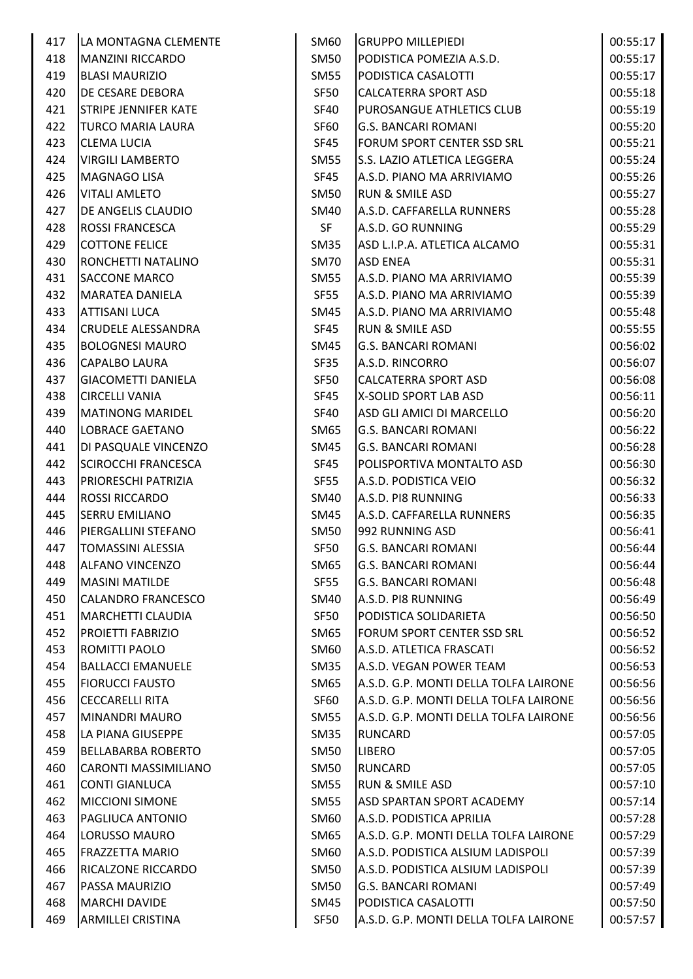| 417 | LA MONTAGNA CLEMENTE        | SM60        | <b>GRUPPO MILLEPIEDI</b>              | 00:55:17 |
|-----|-----------------------------|-------------|---------------------------------------|----------|
| 418 | <b>MANZINI RICCARDO</b>     | <b>SM50</b> | PODISTICA POMEZIA A.S.D.              | 00:55:17 |
| 419 | <b>BLASI MAURIZIO</b>       | <b>SM55</b> | PODISTICA CASALOTTI                   | 00:55:17 |
| 420 | DE CESARE DEBORA            | <b>SF50</b> | <b>CALCATERRA SPORT ASD</b>           | 00:55:18 |
| 421 | <b>STRIPE JENNIFER KATE</b> | <b>SF40</b> | PUROSANGUE ATHLETICS CLUB             | 00:55:19 |
| 422 | <b>TURCO MARIA LAURA</b>    | SF60        | <b>G.S. BANCARI ROMANI</b>            | 00:55:20 |
| 423 | <b>CLEMA LUCIA</b>          | SF45        | FORUM SPORT CENTER SSD SRL            | 00:55:21 |
| 424 | <b>VIRGILI LAMBERTO</b>     | <b>SM55</b> | S.S. LAZIO ATLETICA LEGGERA           | 00:55:24 |
| 425 | <b>MAGNAGO LISA</b>         | SF45        | A.S.D. PIANO MA ARRIVIAMO             | 00:55:26 |
| 426 | <b>VITALI AMLETO</b>        | <b>SM50</b> | <b>RUN &amp; SMILE ASD</b>            | 00:55:27 |
| 427 | DE ANGELIS CLAUDIO          | SM40        | A.S.D. CAFFARELLA RUNNERS             | 00:55:28 |
| 428 | <b>ROSSI FRANCESCA</b>      | <b>SF</b>   | A.S.D. GO RUNNING                     | 00:55:29 |
| 429 | <b>COTTONE FELICE</b>       | <b>SM35</b> | ASD L.I.P.A. ATLETICA ALCAMO          | 00:55:31 |
| 430 | RONCHETTI NATALINO          | <b>SM70</b> | <b>ASD ENEA</b>                       | 00:55:31 |
| 431 | <b>SACCONE MARCO</b>        | <b>SM55</b> | A.S.D. PIANO MA ARRIVIAMO             | 00:55:39 |
| 432 | <b>MARATEA DANIELA</b>      | SF55        | A.S.D. PIANO MA ARRIVIAMO             | 00:55:39 |
| 433 | <b>ATTISANI LUCA</b>        | SM45        | A.S.D. PIANO MA ARRIVIAMO             | 00:55:48 |
| 434 | <b>CRUDELE ALESSANDRA</b>   | <b>SF45</b> | <b>RUN &amp; SMILE ASD</b>            | 00:55:55 |
| 435 | <b>BOLOGNESI MAURO</b>      | SM45        | <b>G.S. BANCARI ROMANI</b>            | 00:56:02 |
| 436 | CAPALBO LAURA               | SF35        | A.S.D. RINCORRO                       | 00:56:07 |
| 437 | <b>GIACOMETTI DANIELA</b>   | SF50        | <b>CALCATERRA SPORT ASD</b>           | 00:56:08 |
| 438 | <b>CIRCELLI VANIA</b>       | SF45        | X-SOLID SPORT LAB ASD                 | 00:56:11 |
| 439 | <b>MATINONG MARIDEL</b>     | <b>SF40</b> | ASD GLI AMICI DI MARCELLO             | 00:56:20 |
| 440 | LOBRACE GAETANO             | SM65        | <b>G.S. BANCARI ROMANI</b>            | 00:56:22 |
| 441 | DI PASQUALE VINCENZO        | SM45        | <b>G.S. BANCARI ROMANI</b>            | 00:56:28 |
| 442 | <b>SCIROCCHI FRANCESCA</b>  | SF45        | POLISPORTIVA MONTALTO ASD             | 00:56:30 |
| 443 | PRIORESCHI PATRIZIA         | SF55        | A.S.D. PODISTICA VEIO                 | 00:56:32 |
| 444 | <b>ROSSI RICCARDO</b>       | SM40        | A.S.D. PI8 RUNNING                    | 00:56:33 |
| 445 | <b>SERRU EMILIANO</b>       | SM45        | A.S.D. CAFFARELLA RUNNERS             | 00:56:35 |
| 446 | PIERGALLINI STEFANO         | <b>SM50</b> | 992 RUNNING ASD                       | 00:56:41 |
| 447 | <b>TOMASSINI ALESSIA</b>    | <b>SF50</b> | <b>G.S. BANCARI ROMANI</b>            | 00:56:44 |
| 448 | <b>ALFANO VINCENZO</b>      | SM65        | <b>G.S. BANCARI ROMANI</b>            | 00:56:44 |
| 449 | <b>MASINI MATILDE</b>       | <b>SF55</b> | <b>G.S. BANCARI ROMANI</b>            | 00:56:48 |
| 450 | <b>CALANDRO FRANCESCO</b>   | SM40        | A.S.D. PI8 RUNNING                    | 00:56:49 |
| 451 | <b>MARCHETTI CLAUDIA</b>    | <b>SF50</b> | PODISTICA SOLIDARIETA                 | 00:56:50 |
| 452 | <b>PROIETTI FABRIZIO</b>    | SM65        | FORUM SPORT CENTER SSD SRL            | 00:56:52 |
| 453 | ROMITTI PAOLO               | SM60        | A.S.D. ATLETICA FRASCATI              | 00:56:52 |
| 454 | <b>BALLACCI EMANUELE</b>    | SM35        | A.S.D. VEGAN POWER TEAM               | 00:56:53 |
| 455 | <b>FIORUCCI FAUSTO</b>      | SM65        | A.S.D. G.P. MONTI DELLA TOLFA LAIRONE | 00:56:56 |
| 456 | <b>CECCARELLI RITA</b>      | SF60        | A.S.D. G.P. MONTI DELLA TOLFA LAIRONE | 00:56:56 |
| 457 | <b>MINANDRI MAURO</b>       | SM55        | A.S.D. G.P. MONTI DELLA TOLFA LAIRONE | 00:56:56 |
| 458 | LA PIANA GIUSEPPE           | <b>SM35</b> | <b>RUNCARD</b>                        | 00:57:05 |
| 459 | <b>BELLABARBA ROBERTO</b>   | <b>SM50</b> | <b>LIBERO</b>                         | 00:57:05 |
| 460 | <b>CARONTI MASSIMILIANO</b> | SM50        | <b>RUNCARD</b>                        | 00:57:05 |
| 461 | <b>CONTI GIANLUCA</b>       | <b>SM55</b> | <b>RUN &amp; SMILE ASD</b>            | 00:57:10 |
| 462 | <b>MICCIONI SIMONE</b>      | <b>SM55</b> | <b>ASD SPARTAN SPORT ACADEMY</b>      | 00:57:14 |
| 463 | PAGLIUCA ANTONIO            | SM60        | A.S.D. PODISTICA APRILIA              | 00:57:28 |
| 464 | LORUSSO MAURO               | SM65        | A.S.D. G.P. MONTI DELLA TOLFA LAIRONE | 00:57:29 |
| 465 | <b>FRAZZETTA MARIO</b>      | SM60        | A.S.D. PODISTICA ALSIUM LADISPOLI     | 00:57:39 |
| 466 | RICALZONE RICCARDO          | <b>SM50</b> | A.S.D. PODISTICA ALSIUM LADISPOLI     | 00:57:39 |
| 467 | PASSA MAURIZIO              | <b>SM50</b> | <b>G.S. BANCARI ROMANI</b>            | 00:57:49 |
| 468 | <b>MARCHI DAVIDE</b>        | SM45        | PODISTICA CASALOTTI                   | 00:57:50 |
| 469 | ARMILLEI CRISTINA           | SF50        | A.S.D. G.P. MONTI DELLA TOLFA LAIRONE | 00:57:57 |
|     |                             |             |                                       |          |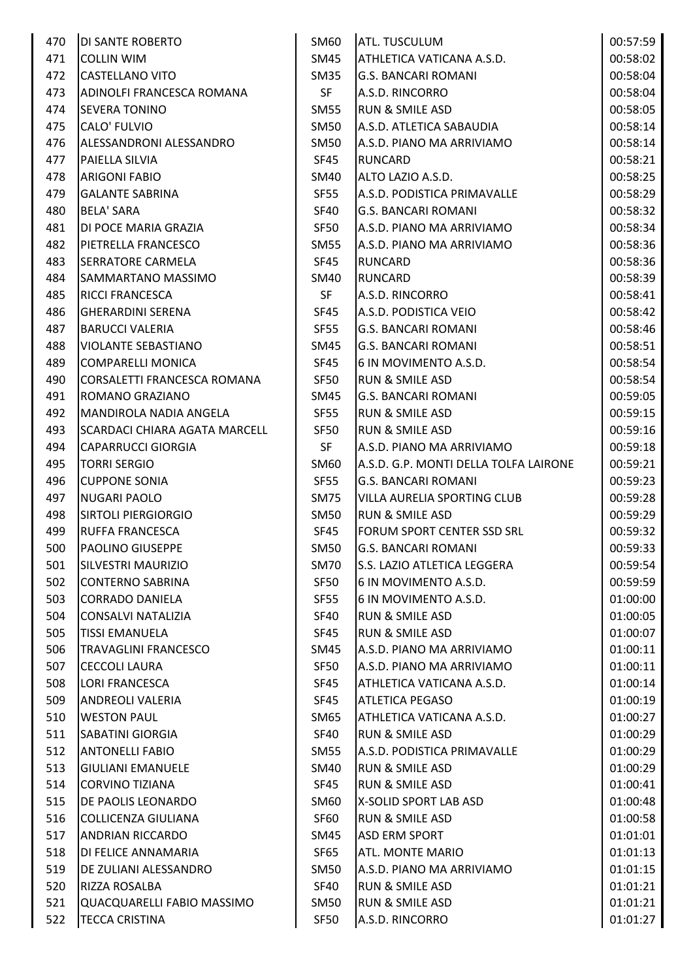| 470 | <b>DI SANTE ROBERTO</b>        | SM60        | <b>ATL. TUSCULUM</b>                  | 00:57:59 |
|-----|--------------------------------|-------------|---------------------------------------|----------|
| 471 | <b>COLLIN WIM</b>              | SM45        | ATHLETICA VATICANA A.S.D.             | 00:58:02 |
| 472 | <b>CASTELLANO VITO</b>         | <b>SM35</b> | <b>G.S. BANCARI ROMANI</b>            | 00:58:04 |
| 473 | ADINOLFI FRANCESCA ROMANA      | <b>SF</b>   | A.S.D. RINCORRO                       | 00:58:04 |
| 474 | <b>SEVERA TONINO</b>           | <b>SM55</b> | <b>RUN &amp; SMILE ASD</b>            | 00:58:05 |
| 475 | CALO' FULVIO                   | <b>SM50</b> | A.S.D. ATLETICA SABAUDIA              | 00:58:14 |
| 476 | <b>ALESSANDRONI ALESSANDRO</b> | SM50        | A.S.D. PIANO MA ARRIVIAMO             | 00:58:14 |
| 477 | PAIELLA SILVIA                 | <b>SF45</b> | <b>RUNCARD</b>                        | 00:58:21 |
| 478 | <b>ARIGONI FABIO</b>           | SM40        | ALTO LAZIO A.S.D.                     | 00:58:25 |
| 479 | <b>GALANTE SABRINA</b>         | <b>SF55</b> | A.S.D. PODISTICA PRIMAVALLE           | 00:58:29 |
| 480 | <b>BELA' SARA</b>              | SF40        | <b>G.S. BANCARI ROMANI</b>            | 00:58:32 |
| 481 | DI POCE MARIA GRAZIA           | SF50        | A.S.D. PIANO MA ARRIVIAMO             | 00:58:34 |
| 482 | PIETRELLA FRANCESCO            | <b>SM55</b> | A.S.D. PIANO MA ARRIVIAMO             | 00:58:36 |
| 483 | <b>SERRATORE CARMELA</b>       | <b>SF45</b> | <b>RUNCARD</b>                        | 00:58:36 |
| 484 | SAMMARTANO MASSIMO             | <b>SM40</b> | <b>RUNCARD</b>                        | 00:58:39 |
| 485 | <b>RICCI FRANCESCA</b>         | <b>SF</b>   | A.S.D. RINCORRO                       | 00:58:41 |
| 486 | <b>GHERARDINI SERENA</b>       | <b>SF45</b> | A.S.D. PODISTICA VEIO                 | 00:58:42 |
| 487 | <b>BARUCCI VALERIA</b>         | <b>SF55</b> | <b>G.S. BANCARI ROMANI</b>            | 00:58:46 |
| 488 | <b>VIOLANTE SEBASTIANO</b>     | SM45        | <b>G.S. BANCARI ROMANI</b>            | 00:58:51 |
| 489 | <b>COMPARELLI MONICA</b>       | <b>SF45</b> | 6 IN MOVIMENTO A.S.D.                 | 00:58:54 |
| 490 | CORSALETTI FRANCESCA ROMANA    | <b>SF50</b> | <b>RUN &amp; SMILE ASD</b>            | 00:58:54 |
| 491 | ROMANO GRAZIANO                | SM45        | <b>G.S. BANCARI ROMANI</b>            | 00:59:05 |
| 492 | MANDIROLA NADIA ANGELA         | <b>SF55</b> | RUN & SMILE ASD                       | 00:59:15 |
| 493 | SCARDACI CHIARA AGATA MARCELL  | <b>SF50</b> | <b>RUN &amp; SMILE ASD</b>            | 00:59:16 |
| 494 | <b>CAPARRUCCI GIORGIA</b>      | SF          | A.S.D. PIANO MA ARRIVIAMO             | 00:59:18 |
| 495 | <b>TORRI SERGIO</b>            | SM60        | A.S.D. G.P. MONTI DELLA TOLFA LAIRONE | 00:59:21 |
| 496 | <b>CUPPONE SONIA</b>           | <b>SF55</b> | <b>G.S. BANCARI ROMANI</b>            | 00:59:23 |
| 497 | <b>NUGARI PAOLO</b>            | <b>SM75</b> | VILLA AURELIA SPORTING CLUB           | 00:59:28 |
| 498 | <b>SIRTOLI PIERGIORGIO</b>     | <b>SM50</b> | RUN & SMILE ASD                       | 00:59:29 |
| 499 | <b>RUFFA FRANCESCA</b>         | SF45        | FORUM SPORT CENTER SSD SRL            | 00:59:32 |
| 500 | <b>PAOLINO GIUSEPPE</b>        | <b>SM50</b> | <b>G.S. BANCARI ROMANI</b>            | 00:59:33 |
| 501 | <b>SILVESTRI MAURIZIO</b>      | <b>SM70</b> | S.S. LAZIO ATLETICA LEGGERA           | 00:59:54 |
| 502 | <b>CONTERNO SABRINA</b>        | SF50        | 6 IN MOVIMENTO A.S.D.                 | 00:59:59 |
| 503 | <b>CORRADO DANIELA</b>         | <b>SF55</b> | 6 IN MOVIMENTO A.S.D.                 | 01:00:00 |
| 504 | <b>CONSALVI NATALIZIA</b>      | <b>SF40</b> | <b>RUN &amp; SMILE ASD</b>            | 01:00:05 |
| 505 | <b>TISSI EMANUELA</b>          | SF45        | <b>RUN &amp; SMILE ASD</b>            | 01:00:07 |
| 506 | <b>TRAVAGLINI FRANCESCO</b>    | SM45        | A.S.D. PIANO MA ARRIVIAMO             | 01:00:11 |
| 507 | <b>CECCOLI LAURA</b>           | SF50        | A.S.D. PIANO MA ARRIVIAMO             | 01:00:11 |
| 508 | <b>LORI FRANCESCA</b>          | <b>SF45</b> | ATHLETICA VATICANA A.S.D.             | 01:00:14 |
| 509 | <b>ANDREOLI VALERIA</b>        | SF45        | <b>ATLETICA PEGASO</b>                | 01:00:19 |
| 510 | <b>WESTON PAUL</b>             | SM65        | ATHLETICA VATICANA A.S.D.             | 01:00:27 |
| 511 | <b>SABATINI GIORGIA</b>        | SF40        | <b>RUN &amp; SMILE ASD</b>            | 01:00:29 |
| 512 | <b>ANTONELLI FABIO</b>         | <b>SM55</b> | A.S.D. PODISTICA PRIMAVALLE           | 01:00:29 |
| 513 | <b>GIULIANI EMANUELE</b>       | SM40        | <b>RUN &amp; SMILE ASD</b>            | 01:00:29 |
| 514 | <b>CORVINO TIZIANA</b>         | SF45        | <b>RUN &amp; SMILE ASD</b>            | 01:00:41 |
| 515 | DE PAOLIS LEONARDO             | SM60        | X-SOLID SPORT LAB ASD                 | 01:00:48 |
| 516 | <b>COLLICENZA GIULIANA</b>     | SF60        | <b>RUN &amp; SMILE ASD</b>            | 01:00:58 |
| 517 | <b>ANDRIAN RICCARDO</b>        | SM45        | <b>ASD ERM SPORT</b>                  | 01:01:01 |
| 518 | DI FELICE ANNAMARIA            | SF65        | ATL. MONTE MARIO                      | 01:01:13 |
| 519 | DE ZULIANI ALESSANDRO          | <b>SM50</b> | A.S.D. PIANO MA ARRIVIAMO             | 01:01:15 |
| 520 | RIZZA ROSALBA                  | SF40        | <b>RUN &amp; SMILE ASD</b>            | 01:01:21 |
| 521 | QUACQUARELLI FABIO MASSIMO     | <b>SM50</b> | <b>RUN &amp; SMILE ASD</b>            | 01:01:21 |
| 522 | <b>TECCA CRISTINA</b>          | <b>SF50</b> | A.S.D. RINCORRO                       | 01:01:27 |
|     |                                |             |                                       |          |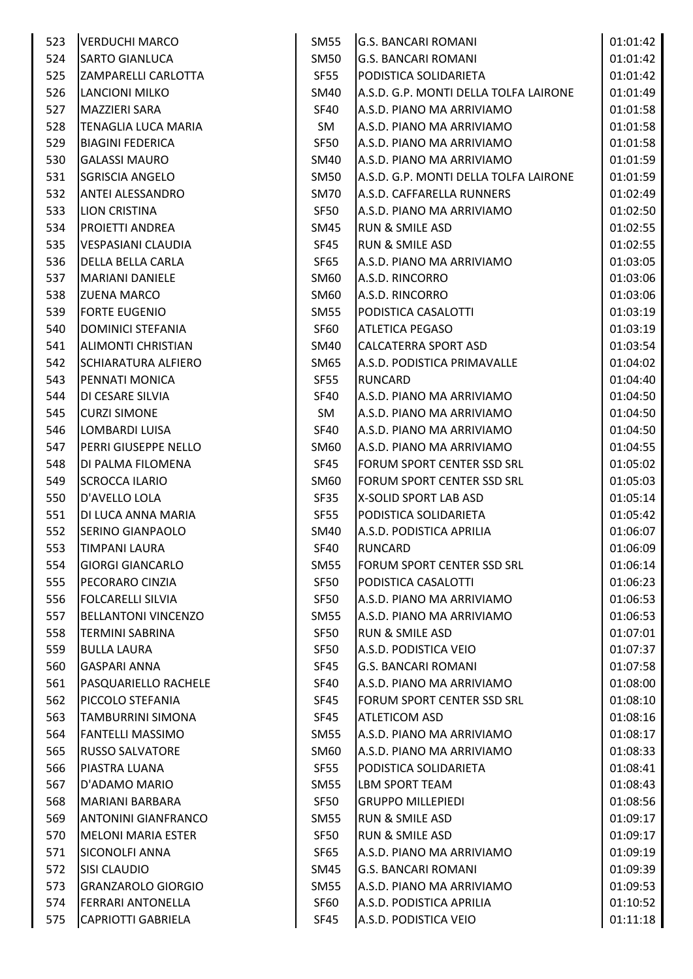| 523 | <b>VERDUCHI MARCO</b>      | <b>SM55</b> | <b>G.S. BANCARI ROMANI</b>            | 01:01:42 |
|-----|----------------------------|-------------|---------------------------------------|----------|
| 524 | <b>SARTO GIANLUCA</b>      | <b>SM50</b> | <b>G.S. BANCARI ROMANI</b>            | 01:01:42 |
| 525 | ZAMPARELLI CARLOTTA        | SF55        | PODISTICA SOLIDARIETA                 | 01:01:42 |
| 526 | <b>LANCIONI MILKO</b>      | SM40        | A.S.D. G.P. MONTI DELLA TOLFA LAIRONE | 01:01:49 |
| 527 | <b>MAZZIERI SARA</b>       | <b>SF40</b> | A.S.D. PIANO MA ARRIVIAMO             | 01:01:58 |
| 528 | TENAGLIA LUCA MARIA        | SM          | A.S.D. PIANO MA ARRIVIAMO             | 01:01:58 |
| 529 | <b>BIAGINI FEDERICA</b>    | <b>SF50</b> | A.S.D. PIANO MA ARRIVIAMO             | 01:01:58 |
| 530 | <b>GALASSI MAURO</b>       | SM40        | A.S.D. PIANO MA ARRIVIAMO             | 01:01:59 |
| 531 | <b>SGRISCIA ANGELO</b>     | <b>SM50</b> | A.S.D. G.P. MONTI DELLA TOLFA LAIRONE | 01:01:59 |
| 532 | <b>ANTEI ALESSANDRO</b>    | <b>SM70</b> | A.S.D. CAFFARELLA RUNNERS             | 01:02:49 |
| 533 | <b>LION CRISTINA</b>       | SF50        | A.S.D. PIANO MA ARRIVIAMO             | 01:02:50 |
| 534 | <b>PROIETTI ANDREA</b>     | SM45        | <b>RUN &amp; SMILE ASD</b>            | 01:02:55 |
| 535 | <b>VESPASIANI CLAUDIA</b>  | <b>SF45</b> | <b>RUN &amp; SMILE ASD</b>            | 01:02:55 |
| 536 | DELLA BELLA CARLA          | SF65        | A.S.D. PIANO MA ARRIVIAMO             | 01:03:05 |
| 537 | <b>MARIANI DANIELE</b>     | SM60        | A.S.D. RINCORRO                       | 01:03:06 |
| 538 | <b>ZUENA MARCO</b>         | SM60        | A.S.D. RINCORRO                       | 01:03:06 |
| 539 | <b>FORTE EUGENIO</b>       | <b>SM55</b> | PODISTICA CASALOTTI                   | 01:03:19 |
| 540 | DOMINICI STEFANIA          | SF60        | <b>ATLETICA PEGASO</b>                | 01:03:19 |
| 541 | <b>ALIMONTI CHRISTIAN</b>  | <b>SM40</b> | CALCATERRA SPORT ASD                  | 01:03:54 |
| 542 | <b>SCHIARATURA ALFIERO</b> | SM65        | A.S.D. PODISTICA PRIMAVALLE           | 01:04:02 |
| 543 | PENNATI MONICA             | SF55        | <b>RUNCARD</b>                        | 01:04:40 |
| 544 | DI CESARE SILVIA           | <b>SF40</b> | A.S.D. PIANO MA ARRIVIAMO             | 01:04:50 |
| 545 | <b>CURZI SIMONE</b>        | SM          | A.S.D. PIANO MA ARRIVIAMO             | 01:04:50 |
| 546 | LOMBARDI LUISA             | <b>SF40</b> | A.S.D. PIANO MA ARRIVIAMO             | 01:04:50 |
| 547 | PERRI GIUSEPPE NELLO       | SM60        | A.S.D. PIANO MA ARRIVIAMO             | 01:04:55 |
| 548 | DI PALMA FILOMENA          | SF45        | FORUM SPORT CENTER SSD SRL            | 01:05:02 |
| 549 | <b>SCROCCA ILARIO</b>      | SM60        | FORUM SPORT CENTER SSD SRL            | 01:05:03 |
| 550 | D'AVELLO LOLA              | SF35        | X-SOLID SPORT LAB ASD                 | 01:05:14 |
| 551 | DI LUCA ANNA MARIA         | <b>SF55</b> | PODISTICA SOLIDARIETA                 | 01:05:42 |
| 552 | <b>SERINO GIANPAOLO</b>    | SM40        | A.S.D. PODISTICA APRILIA              | 01:06:07 |
| 553 | <b>TIMPANI LAURA</b>       | <b>SF40</b> | <b>RUNCARD</b>                        | 01:06:09 |
| 554 | <b>GIORGI GIANCARLO</b>    |             | <b>FORUM SPORT CENTER SSD SRL</b>     |          |
| 555 |                            | SM55        | <b>PODISTICA CASALOTTI</b>            | 01:06:14 |
|     | PECORARO CINZIA            | <b>SF50</b> |                                       | 01:06:23 |
| 556 | <b>FOLCARELLI SILVIA</b>   | SF50        | A.S.D. PIANO MA ARRIVIAMO             | 01:06:53 |
| 557 | <b>BELLANTONI VINCENZO</b> | <b>SM55</b> | A.S.D. PIANO MA ARRIVIAMO             | 01:06:53 |
| 558 | <b>TERMINI SABRINA</b>     | SF50        | <b>RUN &amp; SMILE ASD</b>            | 01:07:01 |
| 559 | <b>BULLA LAURA</b>         | SF50        | A.S.D. PODISTICA VEIO                 | 01:07:37 |
| 560 | <b>GASPARI ANNA</b>        | SF45        | <b>G.S. BANCARI ROMANI</b>            | 01:07:58 |
| 561 | PASQUARIELLO RACHELE       | <b>SF40</b> | A.S.D. PIANO MA ARRIVIAMO             | 01:08:00 |
| 562 | PICCOLO STEFANIA           | SF45        | FORUM SPORT CENTER SSD SRL            | 01:08:10 |
| 563 | <b>TAMBURRINI SIMONA</b>   | SF45        | <b>ATLETICOM ASD</b>                  | 01:08:16 |
| 564 | <b>FANTELLI MASSIMO</b>    | SM55        | A.S.D. PIANO MA ARRIVIAMO             | 01:08:17 |
| 565 | <b>RUSSO SALVATORE</b>     | SM60        | A.S.D. PIANO MA ARRIVIAMO             | 01:08:33 |
| 566 | PIASTRA LUANA              | <b>SF55</b> | PODISTICA SOLIDARIETA                 | 01:08:41 |
| 567 | D'ADAMO MARIO              | <b>SM55</b> | <b>LBM SPORT TEAM</b>                 | 01:08:43 |
| 568 | <b>MARIANI BARBARA</b>     | SF50        | <b>GRUPPO MILLEPIEDI</b>              | 01:08:56 |
| 569 | <b>ANTONINI GIANFRANCO</b> | <b>SM55</b> | <b>RUN &amp; SMILE ASD</b>            | 01:09:17 |
| 570 | <b>MELONI MARIA ESTER</b>  | SF50        | <b>RUN &amp; SMILE ASD</b>            | 01:09:17 |
| 571 | <b>SICONOLFI ANNA</b>      | <b>SF65</b> | A.S.D. PIANO MA ARRIVIAMO             | 01:09:19 |
| 572 | <b>SISI CLAUDIO</b>        | SM45        | <b>G.S. BANCARI ROMANI</b>            | 01:09:39 |
| 573 | <b>GRANZAROLO GIORGIO</b>  | <b>SM55</b> | A.S.D. PIANO MA ARRIVIAMO             | 01:09:53 |
| 574 | <b>FERRARI ANTONELLA</b>   | SF60        | A.S.D. PODISTICA APRILIA              | 01:10:52 |
| 575 | <b>CAPRIOTTI GABRIELA</b>  | SF45        | A.S.D. PODISTICA VEIO                 | 01:11:18 |